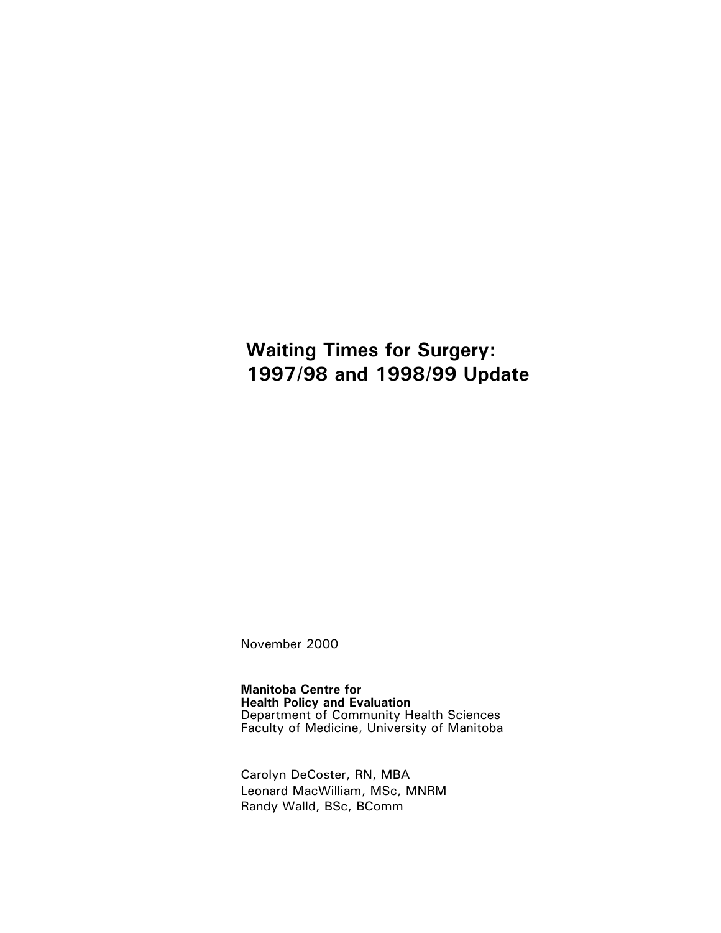# **Waiting Times for Surgery:** 1997/98 and 1998/99 Update

November 2000

**Manitoba Centre for** Health Policy and Evaluation<br>Department of Community Health Sciences Faculty of Medicine, University of Manitoba

Carolyn DeCoster, RN, MBA Leonard MacWilliam, MSc, MNRM Randy Walld, BSc, BComm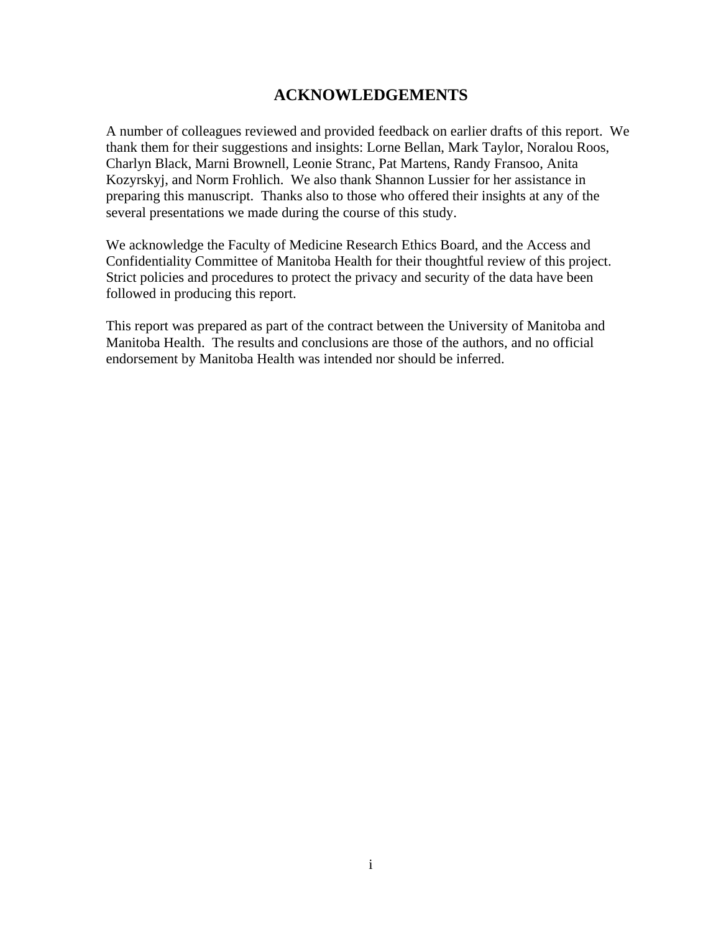## **ACKNOWLEDGEMENTS**

A number of colleagues reviewed and provided feedback on earlier drafts of this report. We thank them for their suggestions and insights: Lorne Bellan, Mark Taylor, Noralou Roos, Charlyn Black, Marni Brownell, Leonie Stranc, Pat Martens, Randy Fransoo, Anita Kozyrskyj, and Norm Frohlich. We also thank Shannon Lussier for her assistance in preparing this manuscript. Thanks also to those who offered their insights at any of the several presentations we made during the course of this study.

We acknowledge the Faculty of Medicine Research Ethics Board, and the Access and Confidentiality Committee of Manitoba Health for their thoughtful review of this project. Strict policies and procedures to protect the privacy and security of the data have been followed in producing this report.

This report was prepared as part of the contract between the University of Manitoba and Manitoba Health. The results and conclusions are those of the authors, and no official endorsement by Manitoba Health was intended nor should be inferred.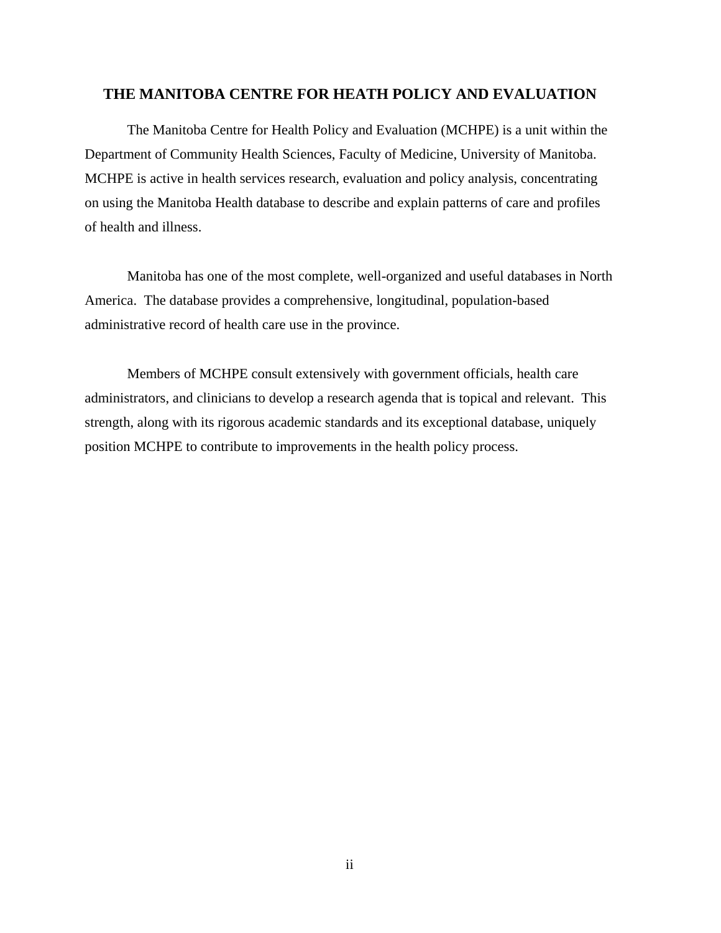#### **THE MANITOBA CENTRE FOR HEATH POLICY AND EVALUATION**

The Manitoba Centre for Health Policy and Evaluation (MCHPE) is a unit within the Department of Community Health Sciences, Faculty of Medicine, University of Manitoba. MCHPE is active in health services research, evaluation and policy analysis, concentrating on using the Manitoba Health database to describe and explain patterns of care and profiles of health and illness.

Manitoba has one of the most complete, well-organized and useful databases in North America. The database provides a comprehensive, longitudinal, population-based administrative record of health care use in the province.

Members of MCHPE consult extensively with government officials, health care administrators, and clinicians to develop a research agenda that is topical and relevant. This strength, along with its rigorous academic standards and its exceptional database, uniquely position MCHPE to contribute to improvements in the health policy process.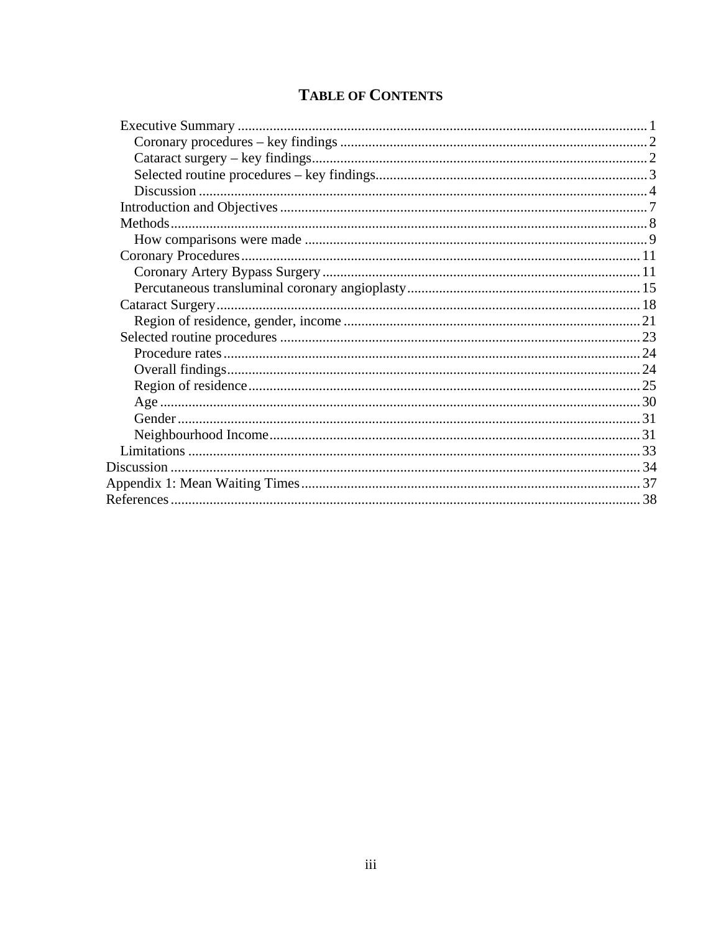# **TABLE OF CONTENTS**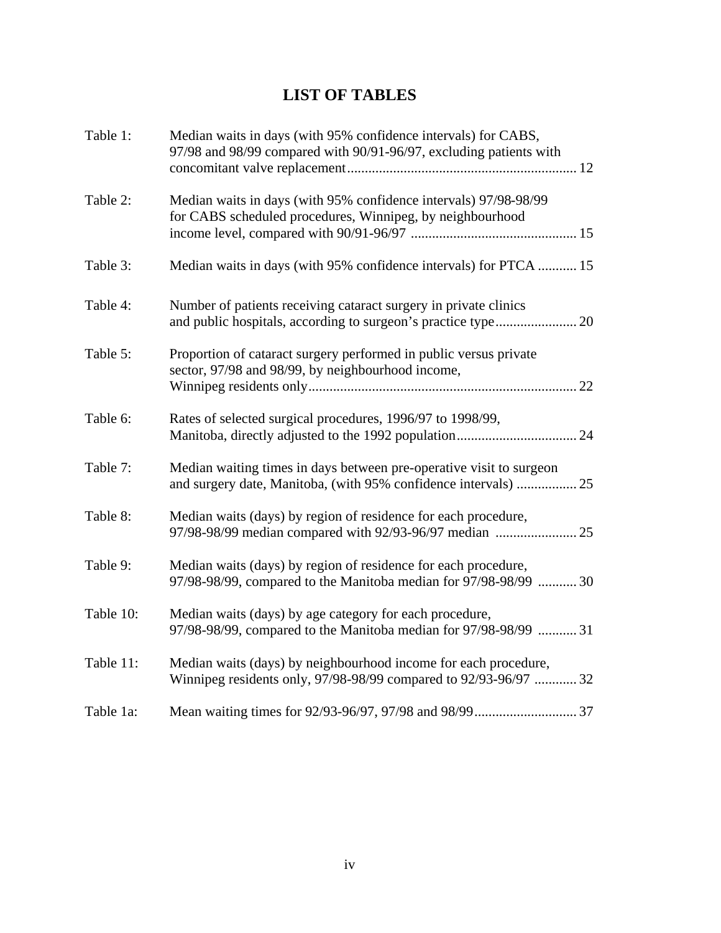# **LIST OF TABLES**

| Table 1:  | Median waits in days (with 95% confidence intervals) for CABS,<br>97/98 and 98/99 compared with 90/91-96/97, excluding patients with   |  |
|-----------|----------------------------------------------------------------------------------------------------------------------------------------|--|
| Table 2:  | Median waits in days (with 95% confidence intervals) 97/98-98/99<br>for CABS scheduled procedures, Winnipeg, by neighbourhood          |  |
| Table 3:  | Median waits in days (with 95% confidence intervals) for PTCA  15                                                                      |  |
| Table 4:  | Number of patients receiving cataract surgery in private clinics                                                                       |  |
| Table 5:  | Proportion of cataract surgery performed in public versus private<br>sector, 97/98 and 98/99, by neighbourhood income,                 |  |
| Table 6:  | Rates of selected surgical procedures, 1996/97 to 1998/99,                                                                             |  |
| Table 7:  | Median waiting times in days between pre-operative visit to surgeon<br>and surgery date, Manitoba, (with 95% confidence intervals)  25 |  |
| Table 8:  | Median waits (days) by region of residence for each procedure,<br>97/98-98/99 median compared with 92/93-96/97 median  25              |  |
| Table 9:  | Median waits (days) by region of residence for each procedure,<br>97/98-98/99, compared to the Manitoba median for 97/98-98/99  30     |  |
| Table 10: | Median waits (days) by age category for each procedure,<br>97/98-98/99, compared to the Manitoba median for 97/98-98/99  31            |  |
| Table 11: | Median waits (days) by neighbourhood income for each procedure,<br>Winnipeg residents only, 97/98-98/99 compared to 92/93-96/97  32    |  |
| Table 1a: |                                                                                                                                        |  |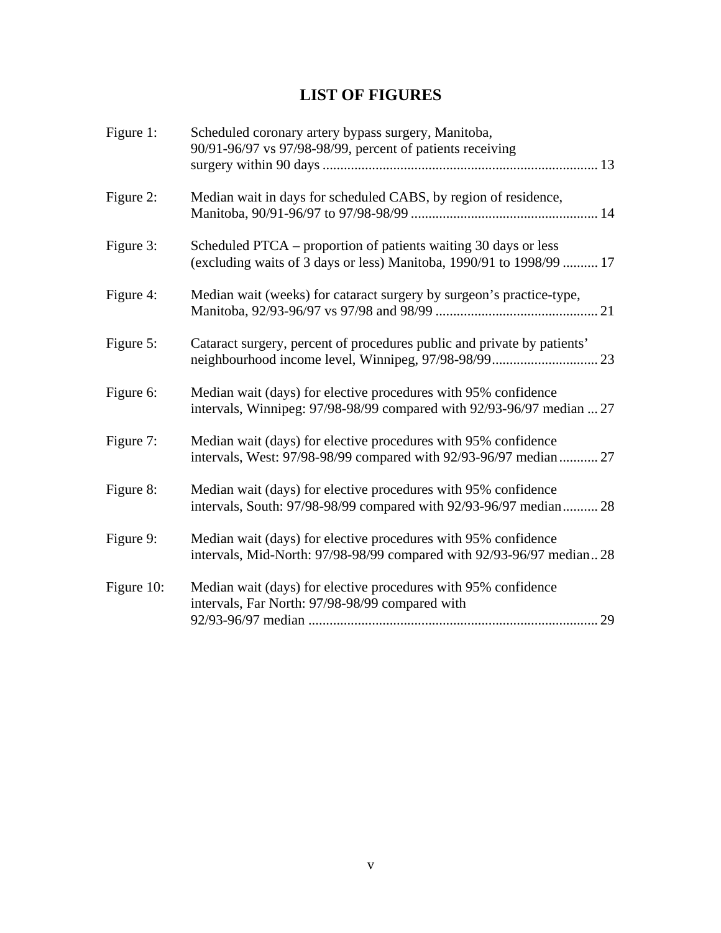# **LIST OF FIGURES**

| Figure 1:  | Scheduled coronary artery bypass surgery, Manitoba,                                                                                     |
|------------|-----------------------------------------------------------------------------------------------------------------------------------------|
|            | 90/91-96/97 vs 97/98-98/99, percent of patients receiving                                                                               |
| Figure 2:  | Median wait in days for scheduled CABS, by region of residence,                                                                         |
| Figure 3:  | Scheduled PTCA - proportion of patients waiting 30 days or less<br>(excluding waits of 3 days or less) Manitoba, 1990/91 to 1998/99  17 |
| Figure 4:  | Median wait (weeks) for cataract surgery by surgeon's practice-type,                                                                    |
| Figure 5:  | Cataract surgery, percent of procedures public and private by patients'                                                                 |
| Figure 6:  | Median wait (days) for elective procedures with 95% confidence<br>intervals, Winnipeg: 97/98-98/99 compared with 92/93-96/97 median  27 |
| Figure 7:  | Median wait (days) for elective procedures with 95% confidence<br>intervals, West: 97/98-98/99 compared with 92/93-96/97 median 27      |
| Figure 8:  | Median wait (days) for elective procedures with 95% confidence<br>intervals, South: 97/98-98/99 compared with 92/93-96/97 median 28     |
| Figure 9:  | Median wait (days) for elective procedures with 95% confidence<br>intervals, Mid-North: 97/98-98/99 compared with 92/93-96/97 median 28 |
| Figure 10: | Median wait (days) for elective procedures with 95% confidence<br>intervals, Far North: 97/98-98/99 compared with<br>29                 |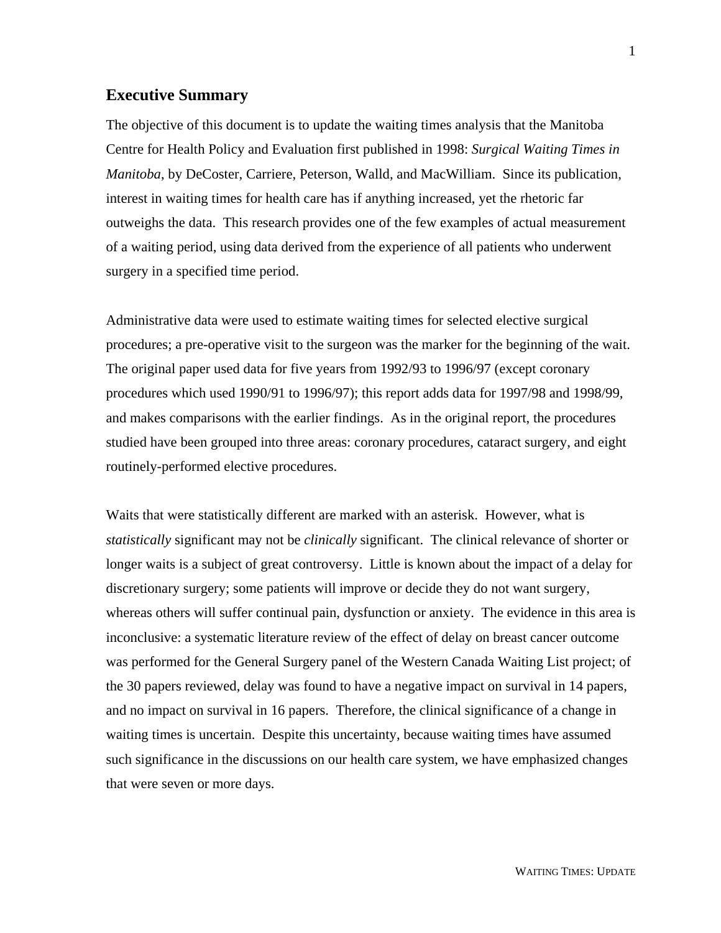#### **Executive Summary**

The objective of this document is to update the waiting times analysis that the Manitoba Centre for Health Policy and Evaluation first published in 1998: *Surgical Waiting Times in Manitoba*, by DeCoster, Carriere, Peterson, Walld, and MacWilliam. Since its publication, interest in waiting times for health care has if anything increased, yet the rhetoric far outweighs the data. This research provides one of the few examples of actual measurement of a waiting period, using data derived from the experience of all patients who underwent surgery in a specified time period.

Administrative data were used to estimate waiting times for selected elective surgical procedures; a pre-operative visit to the surgeon was the marker for the beginning of the wait. The original paper used data for five years from 1992/93 to 1996/97 (except coronary procedures which used 1990/91 to 1996/97); this report adds data for 1997/98 and 1998/99, and makes comparisons with the earlier findings. As in the original report, the procedures studied have been grouped into three areas: coronary procedures, cataract surgery, and eight routinely-performed elective procedures.

Waits that were statistically different are marked with an asterisk. However, what is *statistically* significant may not be *clinically* significant. The clinical relevance of shorter or longer waits is a subject of great controversy. Little is known about the impact of a delay for discretionary surgery; some patients will improve or decide they do not want surgery, whereas others will suffer continual pain, dysfunction or anxiety. The evidence in this area is inconclusive: a systematic literature review of the effect of delay on breast cancer outcome was performed for the General Surgery panel of the Western Canada Waiting List project; of the 30 papers reviewed, delay was found to have a negative impact on survival in 14 papers, and no impact on survival in 16 papers. Therefore, the clinical significance of a change in waiting times is uncertain. Despite this uncertainty, because waiting times have assumed such significance in the discussions on our health care system, we have emphasized changes that were seven or more days.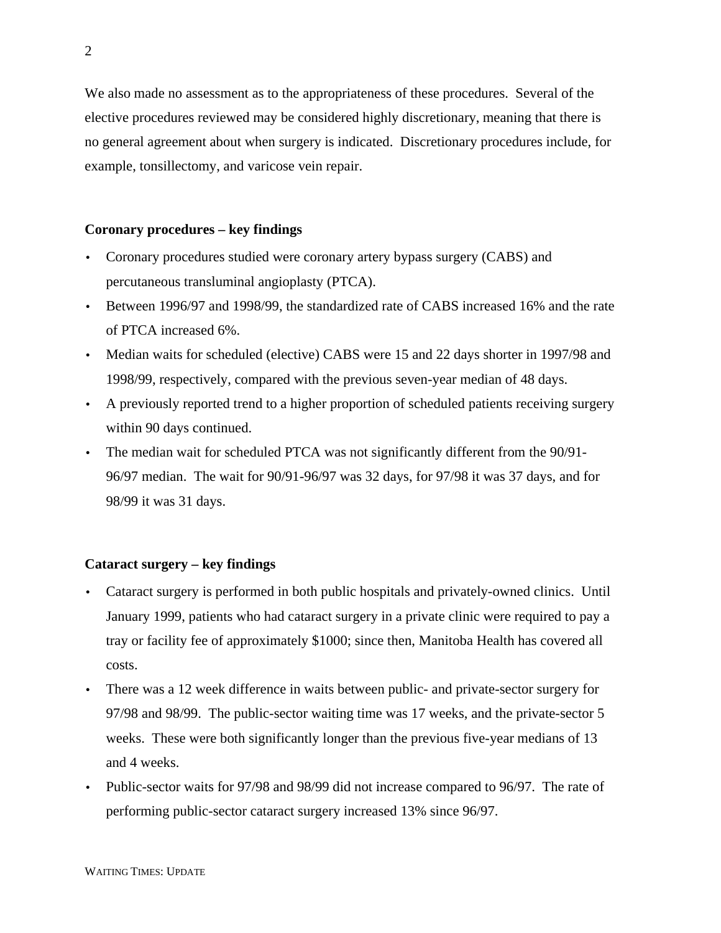We also made no assessment as to the appropriateness of these procedures. Several of the elective procedures reviewed may be considered highly discretionary, meaning that there is no general agreement about when surgery is indicated. Discretionary procedures include, for example, tonsillectomy, and varicose vein repair.

#### **Coronary procedures – key findings**

- Coronary procedures studied were coronary artery bypass surgery (CABS) and percutaneous transluminal angioplasty (PTCA).
- Between 1996/97 and 1998/99, the standardized rate of CABS increased 16% and the rate of PTCA increased 6%.
- Median waits for scheduled (elective) CABS were 15 and 22 days shorter in 1997/98 and 1998/99, respectively, compared with the previous seven-year median of 48 days.
- A previously reported trend to a higher proportion of scheduled patients receiving surgery within 90 days continued.
- The median wait for scheduled PTCA was not significantly different from the 90/91- 96/97 median. The wait for 90/91-96/97 was 32 days, for 97/98 it was 37 days, and for 98/99 it was 31 days.

#### **Cataract surgery – key findings**

- Cataract surgery is performed in both public hospitals and privately-owned clinics. Until January 1999, patients who had cataract surgery in a private clinic were required to pay a tray or facility fee of approximately \$1000; since then, Manitoba Health has covered all costs.
- There was a 12 week difference in waits between public- and private-sector surgery for 97/98 and 98/99. The public-sector waiting time was 17 weeks, and the private-sector 5 weeks. These were both significantly longer than the previous five-year medians of 13 and 4 weeks.
- Public-sector waits for 97/98 and 98/99 did not increase compared to 96/97. The rate of performing public-sector cataract surgery increased 13% since 96/97.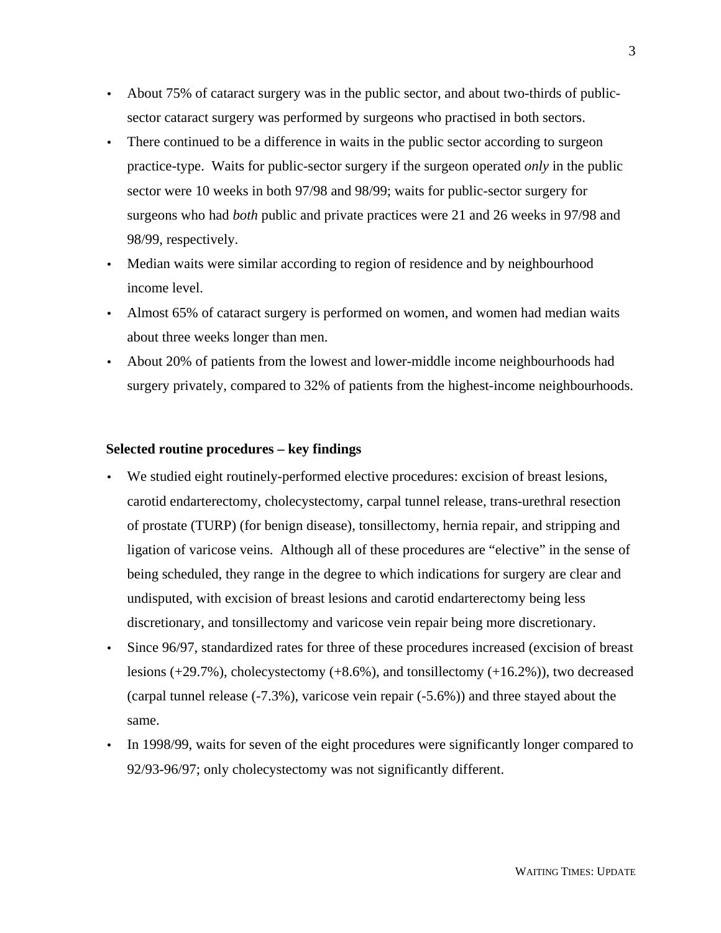- About 75% of cataract surgery was in the public sector, and about two-thirds of publicsector cataract surgery was performed by surgeons who practised in both sectors.
- There continued to be a difference in waits in the public sector according to surgeon practice-type. Waits for public-sector surgery if the surgeon operated *only* in the public sector were 10 weeks in both 97/98 and 98/99; waits for public-sector surgery for surgeons who had *both* public and private practices were 21 and 26 weeks in 97/98 and 98/99, respectively.
- Median waits were similar according to region of residence and by neighbourhood income level.
- Almost 65% of cataract surgery is performed on women, and women had median waits about three weeks longer than men.
- About 20% of patients from the lowest and lower-middle income neighbourhoods had surgery privately, compared to 32% of patients from the highest-income neighbourhoods.

#### **Selected routine procedures – key findings**

- We studied eight routinely-performed elective procedures: excision of breast lesions, carotid endarterectomy, cholecystectomy, carpal tunnel release, trans-urethral resection of prostate (TURP) (for benign disease), tonsillectomy, hernia repair, and stripping and ligation of varicose veins. Although all of these procedures are "elective" in the sense of being scheduled, they range in the degree to which indications for surgery are clear and undisputed, with excision of breast lesions and carotid endarterectomy being less discretionary, and tonsillectomy and varicose vein repair being more discretionary.
- Since 96/97, standardized rates for three of these procedures increased (excision of breast lesions  $(+29.7\%)$ , cholecystectomy  $(+8.6\%)$ , and tonsillectomy  $(+16.2\%)$ , two decreased (carpal tunnel release (-7.3%), varicose vein repair (-5.6%)) and three stayed about the same.
- In 1998/99, waits for seven of the eight procedures were significantly longer compared to 92/93-96/97; only cholecystectomy was not significantly different.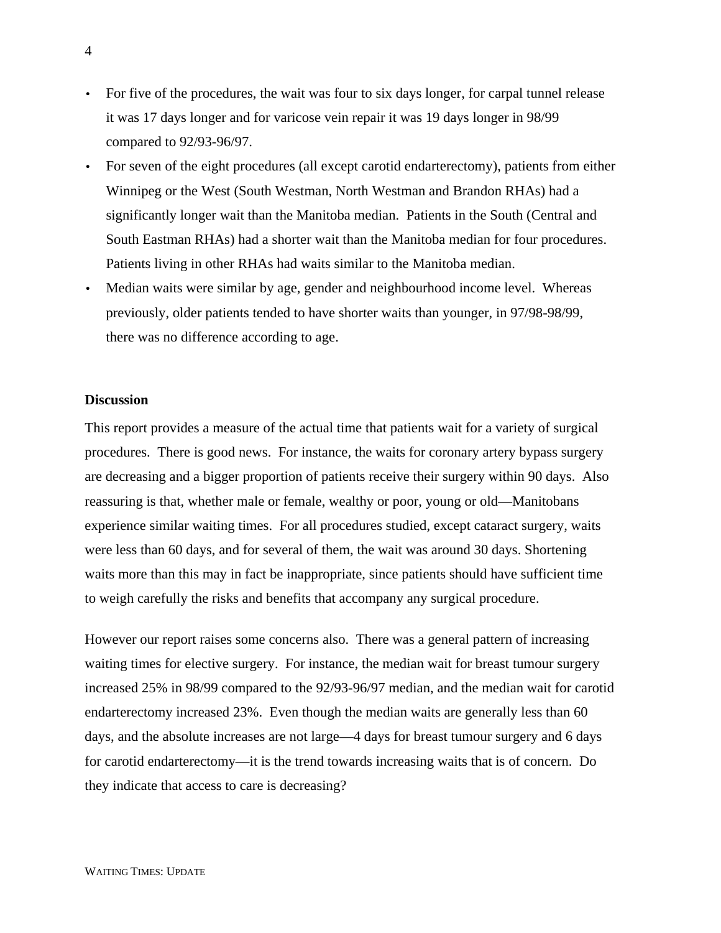- For five of the procedures, the wait was four to six days longer, for carpal tunnel release it was 17 days longer and for varicose vein repair it was 19 days longer in 98/99 compared to 92/93-96/97.
- For seven of the eight procedures (all except carotid endarterectomy), patients from either Winnipeg or the West (South Westman, North Westman and Brandon RHAs) had a significantly longer wait than the Manitoba median. Patients in the South (Central and South Eastman RHAs) had a shorter wait than the Manitoba median for four procedures. Patients living in other RHAs had waits similar to the Manitoba median.
- Median waits were similar by age, gender and neighbourhood income level. Whereas previously, older patients tended to have shorter waits than younger, in 97/98-98/99, there was no difference according to age.

#### **Discussion**

This report provides a measure of the actual time that patients wait for a variety of surgical procedures. There is good news. For instance, the waits for coronary artery bypass surgery are decreasing and a bigger proportion of patients receive their surgery within 90 days. Also reassuring is that, whether male or female, wealthy or poor, young or old—Manitobans experience similar waiting times. For all procedures studied, except cataract surgery, waits were less than 60 days, and for several of them, the wait was around 30 days. Shortening waits more than this may in fact be inappropriate, since patients should have sufficient time to weigh carefully the risks and benefits that accompany any surgical procedure.

However our report raises some concerns also. There was a general pattern of increasing waiting times for elective surgery. For instance, the median wait for breast tumour surgery increased 25% in 98/99 compared to the 92/93-96/97 median, and the median wait for carotid endarterectomy increased 23%. Even though the median waits are generally less than 60 days, and the absolute increases are not large—4 days for breast tumour surgery and 6 days for carotid endarterectomy—it is the trend towards increasing waits that is of concern. Do they indicate that access to care is decreasing?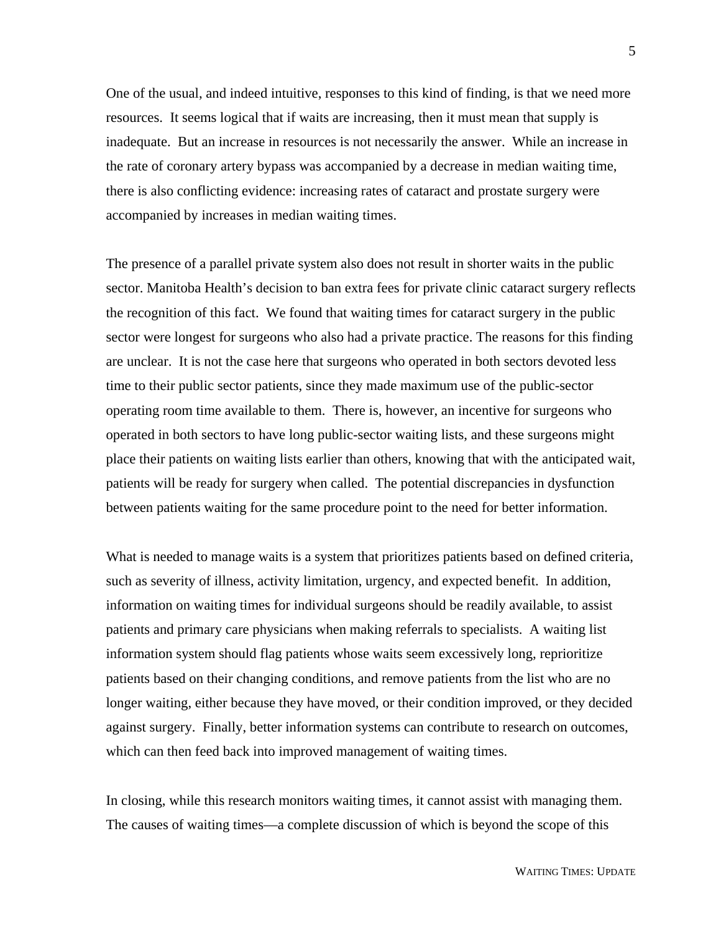One of the usual, and indeed intuitive, responses to this kind of finding, is that we need more resources. It seems logical that if waits are increasing, then it must mean that supply is inadequate. But an increase in resources is not necessarily the answer. While an increase in the rate of coronary artery bypass was accompanied by a decrease in median waiting time, there is also conflicting evidence: increasing rates of cataract and prostate surgery were accompanied by increases in median waiting times.

The presence of a parallel private system also does not result in shorter waits in the public sector. Manitoba Health's decision to ban extra fees for private clinic cataract surgery reflects the recognition of this fact. We found that waiting times for cataract surgery in the public sector were longest for surgeons who also had a private practice. The reasons for this finding are unclear. It is not the case here that surgeons who operated in both sectors devoted less time to their public sector patients, since they made maximum use of the public-sector operating room time available to them. There is, however, an incentive for surgeons who operated in both sectors to have long public-sector waiting lists, and these surgeons might place their patients on waiting lists earlier than others, knowing that with the anticipated wait, patients will be ready for surgery when called. The potential discrepancies in dysfunction between patients waiting for the same procedure point to the need for better information.

What is needed to manage waits is a system that prioritizes patients based on defined criteria, such as severity of illness, activity limitation, urgency, and expected benefit. In addition, information on waiting times for individual surgeons should be readily available, to assist patients and primary care physicians when making referrals to specialists. A waiting list information system should flag patients whose waits seem excessively long, reprioritize patients based on their changing conditions, and remove patients from the list who are no longer waiting, either because they have moved, or their condition improved, or they decided against surgery. Finally, better information systems can contribute to research on outcomes, which can then feed back into improved management of waiting times.

In closing, while this research monitors waiting times, it cannot assist with managing them. The causes of waiting times—a complete discussion of which is beyond the scope of this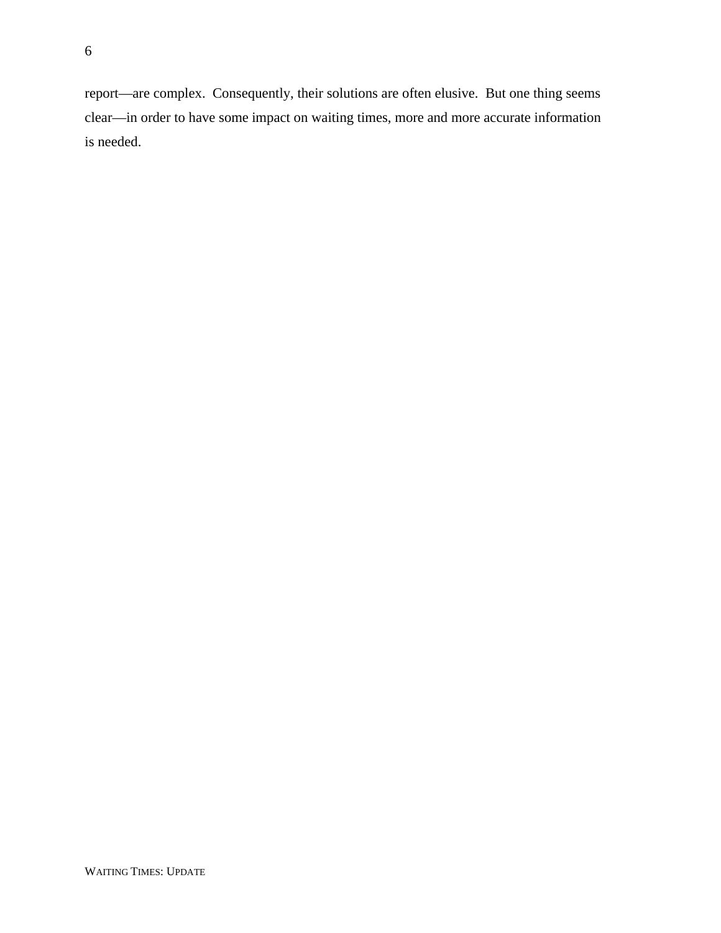6

report—are complex. Consequently, their solutions are often elusive. But one thing seems clear—in order to have some impact on waiting times, more and more accurate information is needed.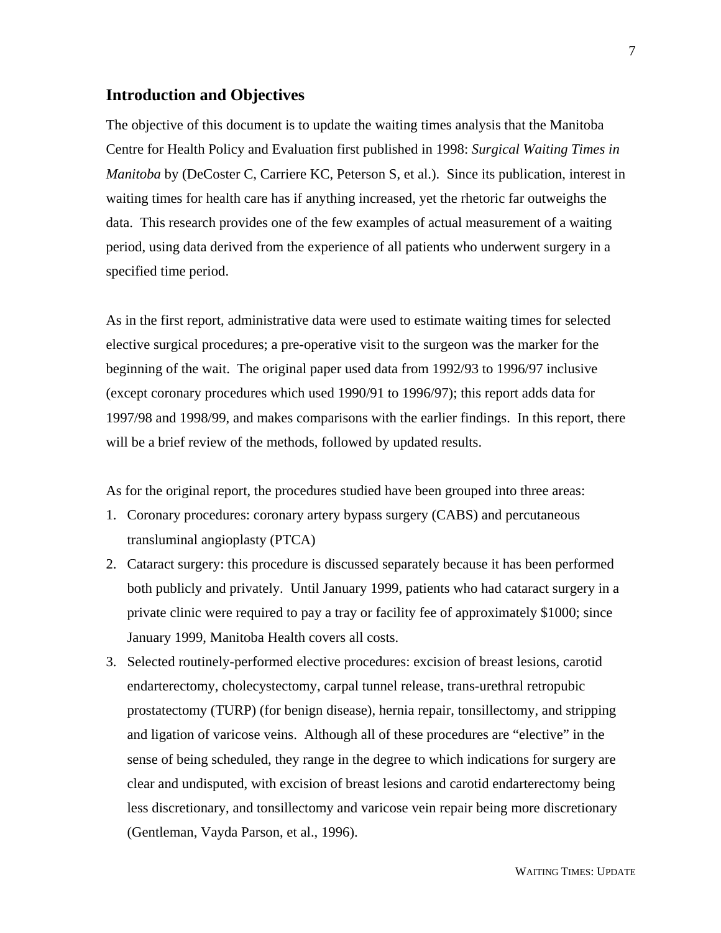#### **Introduction and Objectives**

The objective of this document is to update the waiting times analysis that the Manitoba Centre for Health Policy and Evaluation first published in 1998: *Surgical Waiting Times in Manitoba* by (DeCoster C, Carriere KC, Peterson S, et al.). Since its publication, interest in waiting times for health care has if anything increased, yet the rhetoric far outweighs the data. This research provides one of the few examples of actual measurement of a waiting period, using data derived from the experience of all patients who underwent surgery in a specified time period.

As in the first report, administrative data were used to estimate waiting times for selected elective surgical procedures; a pre-operative visit to the surgeon was the marker for the beginning of the wait. The original paper used data from 1992/93 to 1996/97 inclusive (except coronary procedures which used 1990/91 to 1996/97); this report adds data for 1997/98 and 1998/99, and makes comparisons with the earlier findings. In this report, there will be a brief review of the methods, followed by updated results.

As for the original report, the procedures studied have been grouped into three areas:

- 1. Coronary procedures: coronary artery bypass surgery (CABS) and percutaneous transluminal angioplasty (PTCA)
- 2. Cataract surgery: this procedure is discussed separately because it has been performed both publicly and privately. Until January 1999, patients who had cataract surgery in a private clinic were required to pay a tray or facility fee of approximately \$1000; since January 1999, Manitoba Health covers all costs.
- 3. Selected routinely-performed elective procedures: excision of breast lesions, carotid endarterectomy, cholecystectomy, carpal tunnel release, trans-urethral retropubic prostatectomy (TURP) (for benign disease), hernia repair, tonsillectomy, and stripping and ligation of varicose veins. Although all of these procedures are "elective" in the sense of being scheduled, they range in the degree to which indications for surgery are clear and undisputed, with excision of breast lesions and carotid endarterectomy being less discretionary, and tonsillectomy and varicose vein repair being more discretionary (Gentleman, Vayda Parson, et al., 1996).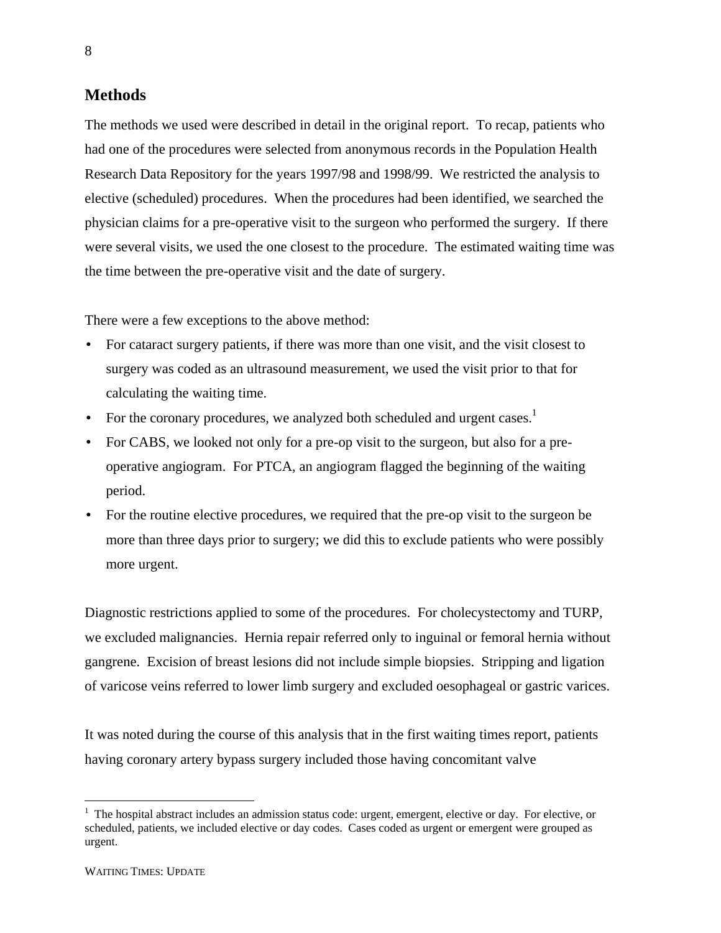#### **Methods**

The methods we used were described in detail in the original report. To recap, patients who had one of the procedures were selected from anonymous records in the Population Health Research Data Repository for the years 1997/98 and 1998/99. We restricted the analysis to elective (scheduled) procedures. When the procedures had been identified, we searched the physician claims for a pre-operative visit to the surgeon who performed the surgery. If there were several visits, we used the one closest to the procedure. The estimated waiting time was the time between the pre-operative visit and the date of surgery.

There were a few exceptions to the above method:

- For cataract surgery patients, if there was more than one visit, and the visit closest to surgery was coded as an ultrasound measurement, we used the visit prior to that for calculating the waiting time.
- For the coronary procedures, we analyzed both scheduled and urgent cases.<sup>1</sup>
- For CABS, we looked not only for a pre-op visit to the surgeon, but also for a preoperative angiogram. For PTCA, an angiogram flagged the beginning of the waiting period.
- For the routine elective procedures, we required that the pre-op visit to the surgeon be more than three days prior to surgery; we did this to exclude patients who were possibly more urgent.

Diagnostic restrictions applied to some of the procedures. For cholecystectomy and TURP, we excluded malignancies. Hernia repair referred only to inguinal or femoral hernia without gangrene. Excision of breast lesions did not include simple biopsies. Stripping and ligation of varicose veins referred to lower limb surgery and excluded oesophageal or gastric varices.

It was noted during the course of this analysis that in the first waiting times report, patients having coronary artery bypass surgery included those having concomitant valve

 $\overline{a}$ 

<sup>&</sup>lt;sup>1</sup> The hospital abstract includes an admission status code: urgent, emergent, elective or day. For elective, or scheduled, patients, we included elective or day codes. Cases coded as urgent or emergent were grouped as urgent.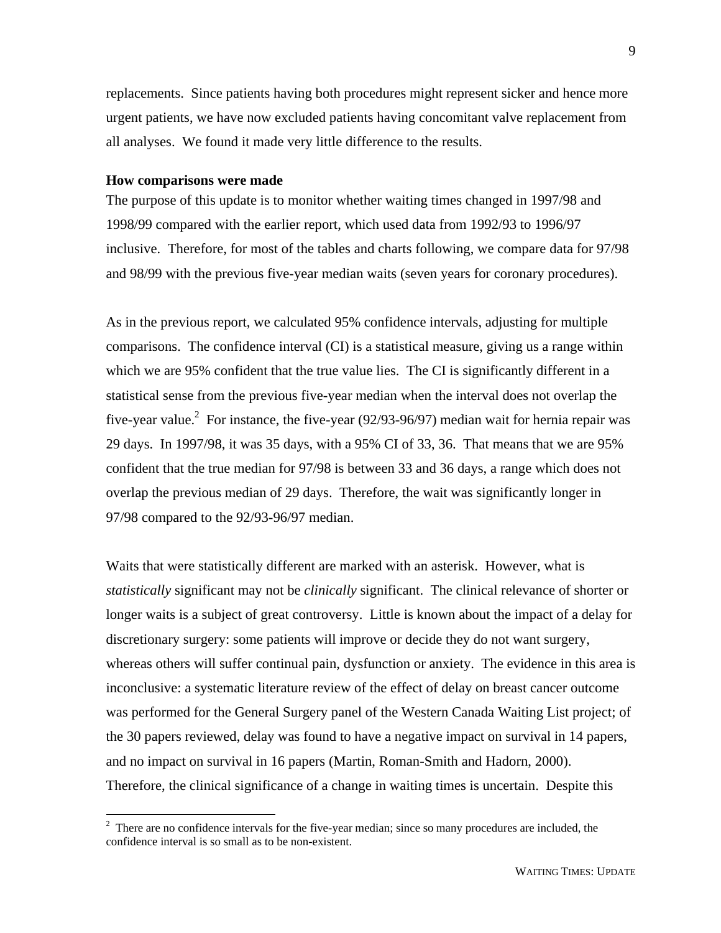replacements. Since patients having both procedures might represent sicker and hence more urgent patients, we have now excluded patients having concomitant valve replacement from all analyses. We found it made very little difference to the results.

#### **How comparisons were made**

The purpose of this update is to monitor whether waiting times changed in 1997/98 and 1998/99 compared with the earlier report, which used data from 1992/93 to 1996/97 inclusive. Therefore, for most of the tables and charts following, we compare data for 97/98 and 98/99 with the previous five-year median waits (seven years for coronary procedures).

As in the previous report, we calculated 95% confidence intervals, adjusting for multiple comparisons. The confidence interval (CI) is a statistical measure, giving us a range within which we are 95% confident that the true value lies. The CI is significantly different in a statistical sense from the previous five-year median when the interval does not overlap the five-year value.<sup>2</sup> For instance, the five-year (92/93-96/97) median wait for hernia repair was 29 days. In 1997/98, it was 35 days, with a 95% CI of 33, 36. That means that we are 95% confident that the true median for 97/98 is between 33 and 36 days, a range which does not overlap the previous median of 29 days. Therefore, the wait was significantly longer in 97/98 compared to the 92/93-96/97 median.

Waits that were statistically different are marked with an asterisk. However, what is *statistically* significant may not be *clinically* significant. The clinical relevance of shorter or longer waits is a subject of great controversy. Little is known about the impact of a delay for discretionary surgery: some patients will improve or decide they do not want surgery, whereas others will suffer continual pain, dysfunction or anxiety. The evidence in this area is inconclusive: a systematic literature review of the effect of delay on breast cancer outcome was performed for the General Surgery panel of the Western Canada Waiting List project; of the 30 papers reviewed, delay was found to have a negative impact on survival in 14 papers, and no impact on survival in 16 papers (Martin, Roman-Smith and Hadorn, 2000). Therefore, the clinical significance of a change in waiting times is uncertain. Despite this

<sup>&</sup>lt;sup>2</sup> There are no confidence intervals for the five-year median; since so many procedures are included, the confidence interval is so small as to be non-existent.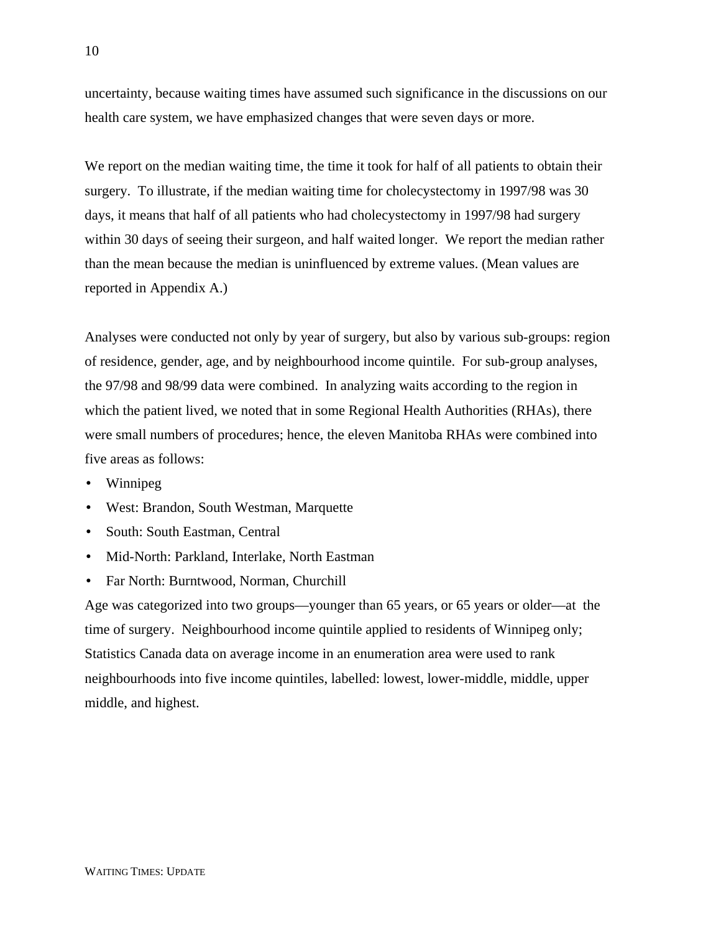uncertainty, because waiting times have assumed such significance in the discussions on our health care system, we have emphasized changes that were seven days or more.

We report on the median waiting time, the time it took for half of all patients to obtain their surgery. To illustrate, if the median waiting time for cholecystectomy in 1997/98 was 30 days, it means that half of all patients who had cholecystectomy in 1997/98 had surgery within 30 days of seeing their surgeon, and half waited longer. We report the median rather than the mean because the median is uninfluenced by extreme values. (Mean values are reported in Appendix A.)

Analyses were conducted not only by year of surgery, but also by various sub-groups: region of residence, gender, age, and by neighbourhood income quintile. For sub-group analyses, the 97/98 and 98/99 data were combined. In analyzing waits according to the region in which the patient lived, we noted that in some Regional Health Authorities (RHAs), there were small numbers of procedures; hence, the eleven Manitoba RHAs were combined into five areas as follows:

- Winnipeg
- West: Brandon, South Westman, Marquette
- South: South Eastman, Central
- Mid-North: Parkland, Interlake, North Eastman
- Far North: Burntwood, Norman, Churchill

Age was categorized into two groups—younger than 65 years, or 65 years or older—at the time of surgery. Neighbourhood income quintile applied to residents of Winnipeg only; Statistics Canada data on average income in an enumeration area were used to rank neighbourhoods into five income quintiles, labelled: lowest, lower-middle, middle, upper middle, and highest.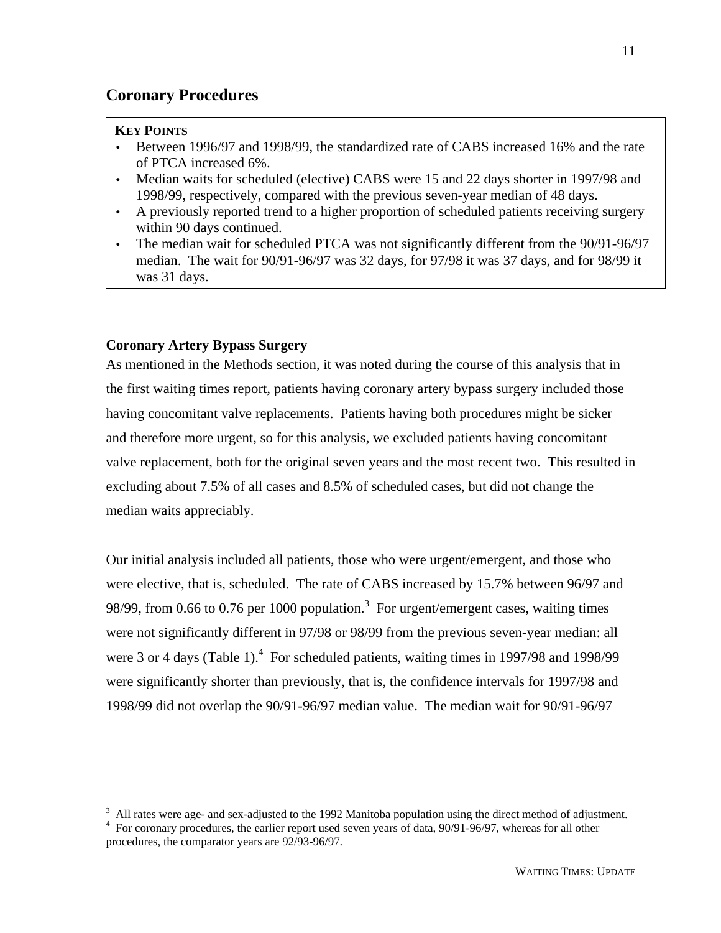## **Coronary Procedures**

#### **KEY POINTS**

- Between 1996/97 and 1998/99, the standardized rate of CABS increased 16% and the rate of PTCA increased 6%.
- Median waits for scheduled (elective) CABS were 15 and 22 days shorter in 1997/98 and 1998/99, respectively, compared with the previous seven-year median of 48 days.
- A previously reported trend to a higher proportion of scheduled patients receiving surgery within 90 days continued.
- The median wait for scheduled PTCA was not significantly different from the 90/91-96/97 median. The wait for 90/91-96/97 was 32 days, for 97/98 it was 37 days, and for 98/99 it was 31 days.

#### **Coronary Artery Bypass Surgery**

As mentioned in the Methods section, it was noted during the course of this analysis that in the first waiting times report, patients having coronary artery bypass surgery included those having concomitant valve replacements. Patients having both procedures might be sicker and therefore more urgent, so for this analysis, we excluded patients having concomitant valve replacement, both for the original seven years and the most recent two. This resulted in excluding about 7.5% of all cases and 8.5% of scheduled cases, but did not change the median waits appreciably.

Our initial analysis included all patients, those who were urgent/emergent, and those who were elective, that is, scheduled. The rate of CABS increased by 15.7% between 96/97 and 98/99, from 0.66 to 0.76 per 1000 population.<sup>3</sup> For urgent/emergent cases, waiting times were not significantly different in 97/98 or 98/99 from the previous seven-year median: all were 3 or 4 days (Table 1).<sup>4</sup> For scheduled patients, waiting times in 1997/98 and 1998/99 were significantly shorter than previously, that is, the confidence intervals for 1997/98 and 1998/99 did not overlap the 90/91-96/97 median value. The median wait for 90/91-96/97

<sup>&</sup>lt;sup>3</sup> All rates were age- and sex-adjusted to the 1992 Manitoba population using the direct method of adjustment. <sup>4</sup> For coronary procedures, the earlier report used seven years of data, 90/91-96/97, whereas for all other procedures, the comparator years are 92/93-96/97.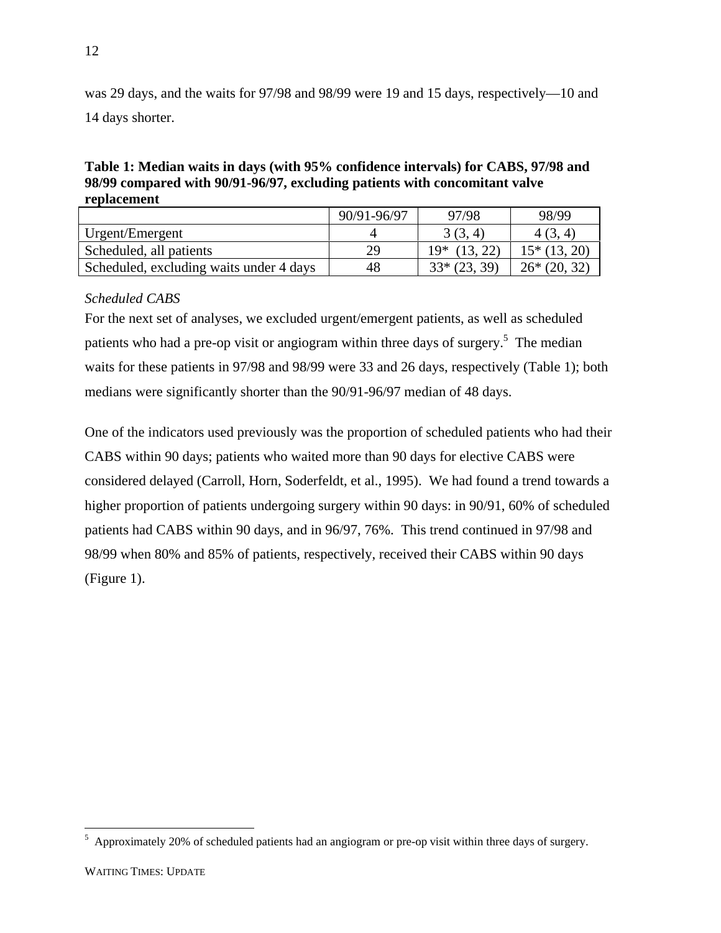was 29 days, and the waits for 97/98 and 98/99 were 19 and 15 days, respectively—10 and 14 days shorter.

**Table 1: Median waits in days (with 95% confidence intervals) for CABS, 97/98 and 98/99 compared with 90/91-96/97, excluding patients with concomitant valve replacement**

|                                         | 90/91-96/97 | 97/98          | 98/99         |
|-----------------------------------------|-------------|----------------|---------------|
| Urgent/Emergent                         |             | 3(3, 4)        | 4(3, 4)       |
| Scheduled, all patients                 | 29          | $19*$ (13, 22) | $15*(13, 20)$ |
| Scheduled, excluding waits under 4 days | 48          | $33*(23, 39)$  | $26*(20, 32)$ |

#### *Scheduled CABS*

For the next set of analyses, we excluded urgent/emergent patients, as well as scheduled patients who had a pre-op visit or angiogram within three days of surgery.<sup>5</sup> The median waits for these patients in 97/98 and 98/99 were 33 and 26 days, respectively (Table 1); both medians were significantly shorter than the 90/91-96/97 median of 48 days.

One of the indicators used previously was the proportion of scheduled patients who had their CABS within 90 days; patients who waited more than 90 days for elective CABS were considered delayed (Carroll, Horn, Soderfeldt, et al., 1995). We had found a trend towards a higher proportion of patients undergoing surgery within 90 days: in 90/91, 60% of scheduled patients had CABS within 90 days, and in 96/97, 76%. This trend continued in 97/98 and 98/99 when 80% and 85% of patients, respectively, received their CABS within 90 days (Figure 1).

 $\overline{a}$ 

<sup>&</sup>lt;sup>5</sup> Approximately 20% of scheduled patients had an angiogram or pre-op visit within three days of surgery.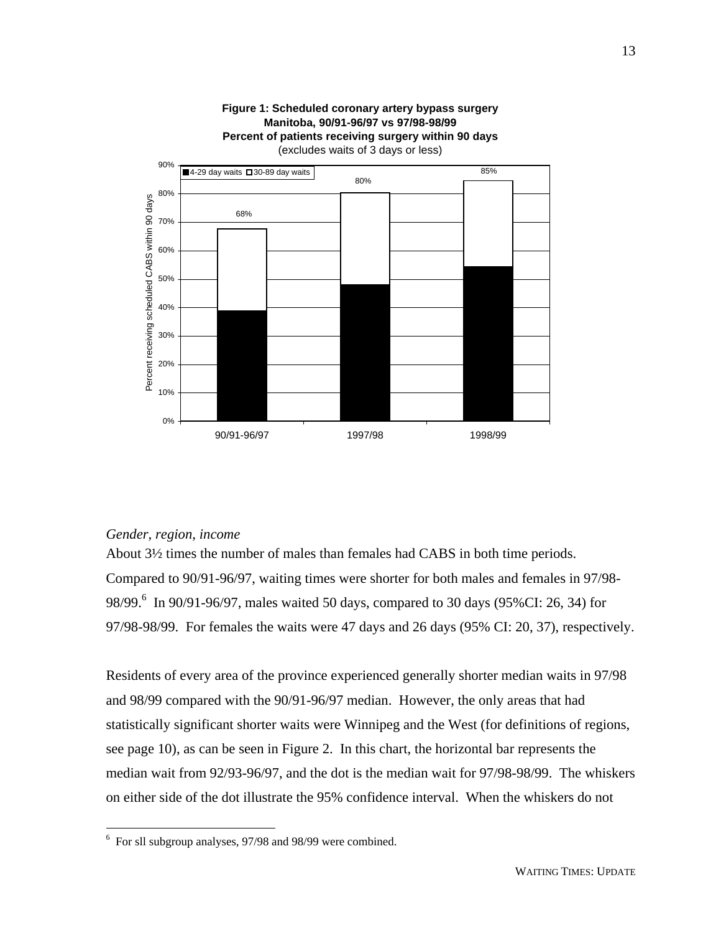

# **Figure 1: Scheduled coronary artery bypass surgery Manitoba, 90/91-96/97 vs 97/98-98/99**

#### *Gender, region, income*

 $\overline{a}$ 

About 3½ times the number of males than females had CABS in both time periods. Compared to 90/91-96/97, waiting times were shorter for both males and females in 97/98- 98/99.<sup>6</sup> In 90/91-96/97, males waited 50 days, compared to 30 days (95%CI: 26, 34) for 97/98-98/99. For females the waits were 47 days and 26 days (95% CI: 20, 37), respectively.

Residents of every area of the province experienced generally shorter median waits in 97/98 and 98/99 compared with the 90/91-96/97 median. However, the only areas that had statistically significant shorter waits were Winnipeg and the West (for definitions of regions, see page 10), as can be seen in Figure 2. In this chart, the horizontal bar represents the median wait from 92/93-96/97, and the dot is the median wait for 97/98-98/99. The whiskers on either side of the dot illustrate the 95% confidence interval. When the whiskers do not

<sup>&</sup>lt;sup>6</sup> For sll subgroup analyses, 97/98 and 98/99 were combined.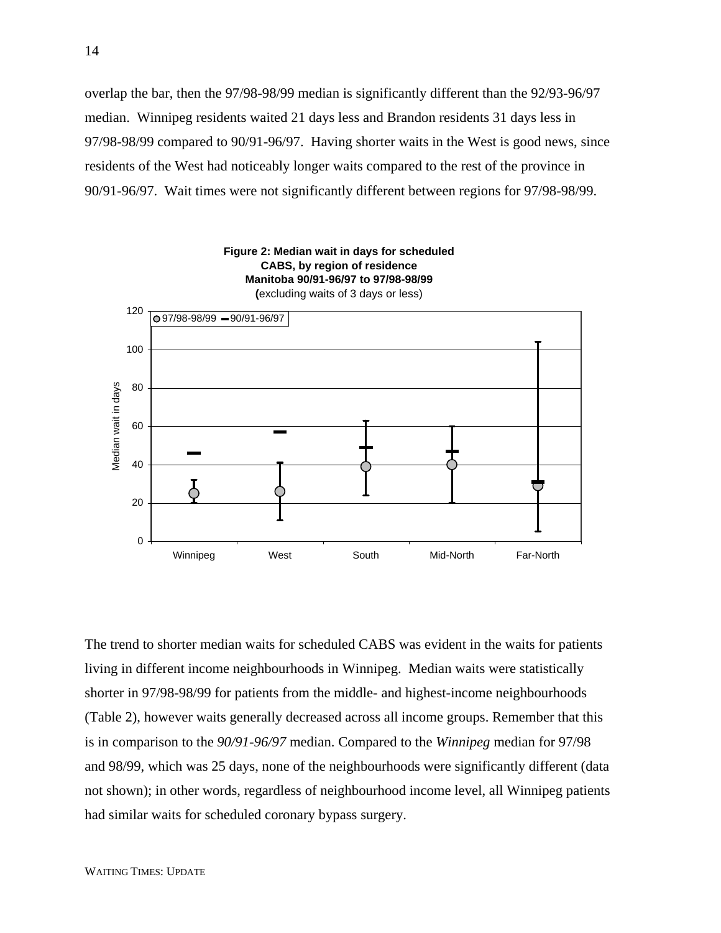overlap the bar, then the 97/98-98/99 median is significantly different than the 92/93-96/97 median. Winnipeg residents waited 21 days less and Brandon residents 31 days less in 97/98-98/99 compared to 90/91-96/97. Having shorter waits in the West is good news, since residents of the West had noticeably longer waits compared to the rest of the province in 90/91-96/97. Wait times were not significantly different between regions for 97/98-98/99.



The trend to shorter median waits for scheduled CABS was evident in the waits for patients living in different income neighbourhoods in Winnipeg. Median waits were statistically shorter in 97/98-98/99 for patients from the middle- and highest-income neighbourhoods (Table 2), however waits generally decreased across all income groups. Remember that this is in comparison to the *90/91-96/97* median. Compared to the *Winnipeg* median for 97/98 and 98/99, which was 25 days, none of the neighbourhoods were significantly different (data not shown); in other words, regardless of neighbourhood income level, all Winnipeg patients had similar waits for scheduled coronary bypass surgery.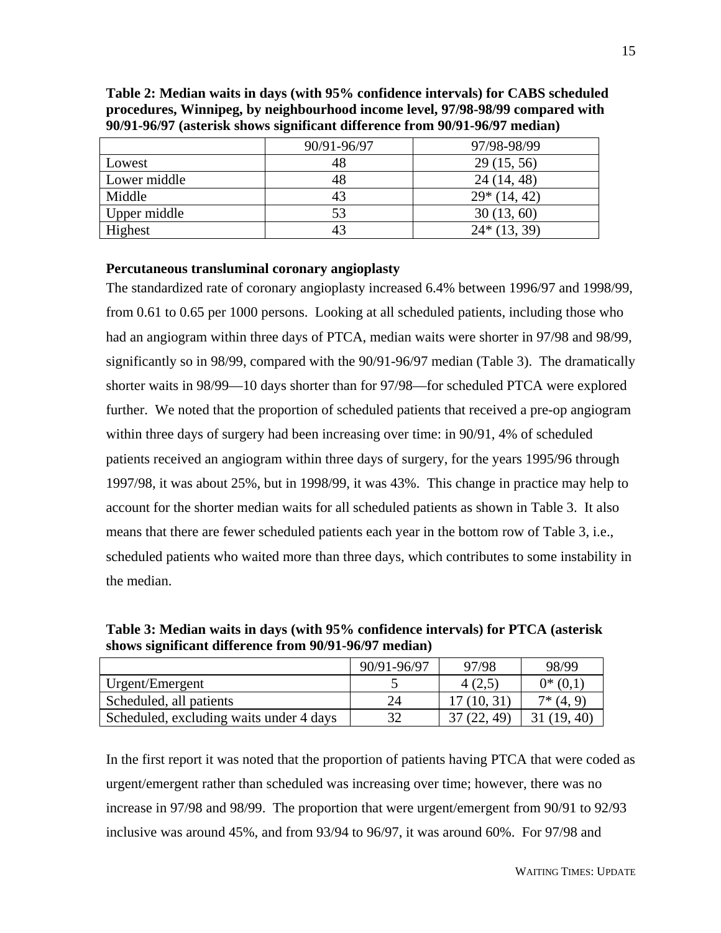|              | 90/91-96/97 | 97/98-98/99   |
|--------------|-------------|---------------|
| Lowest       | 48          | 29(15, 56)    |
| Lower middle | 48          | 24 (14, 48)   |
| Middle       | 43          | $29*(14, 42)$ |
| Upper middle | 53          | 30(13, 60)    |
| Highest      |             | $24*(13, 39)$ |

**Table 2: Median waits in days (with 95% confidence intervals) for CABS scheduled procedures, Winnipeg, by neighbourhood income level, 97/98-98/99 compared with 90/91-96/97 (asterisk shows significant difference from 90/91-96/97 median)**

#### **Percutaneous transluminal coronary angioplasty**

The standardized rate of coronary angioplasty increased 6.4% between 1996/97 and 1998/99, from 0.61 to 0.65 per 1000 persons. Looking at all scheduled patients, including those who had an angiogram within three days of PTCA, median waits were shorter in 97/98 and 98/99, significantly so in 98/99, compared with the 90/91-96/97 median (Table 3). The dramatically shorter waits in 98/99—10 days shorter than for 97/98—for scheduled PTCA were explored further. We noted that the proportion of scheduled patients that received a pre-op angiogram within three days of surgery had been increasing over time: in 90/91, 4% of scheduled patients received an angiogram within three days of surgery, for the years 1995/96 through 1997/98, it was about 25%, but in 1998/99, it was 43%. This change in practice may help to account for the shorter median waits for all scheduled patients as shown in Table 3. It also means that there are fewer scheduled patients each year in the bottom row of Table 3, i.e., scheduled patients who waited more than three days, which contributes to some instability in the median.

**Table 3: Median waits in days (with 95% confidence intervals) for PTCA (asterisk shows significant difference from 90/91-96/97 median)**

|                                         | 90/91-96/97 | 97/98          | 98/99      |
|-----------------------------------------|-------------|----------------|------------|
| Urgent/Emergent                         |             | 4(2,5)         | $0*(0,1)$  |
| Scheduled, all patients                 |             | 17(10, 31)     | $7*(4, 9)$ |
| Scheduled, excluding waits under 4 days |             | (22, 49)<br>37 | (19, 40)   |

In the first report it was noted that the proportion of patients having PTCA that were coded as urgent/emergent rather than scheduled was increasing over time; however, there was no increase in 97/98 and 98/99. The proportion that were urgent/emergent from 90/91 to 92/93 inclusive was around 45%, and from 93/94 to 96/97, it was around 60%. For 97/98 and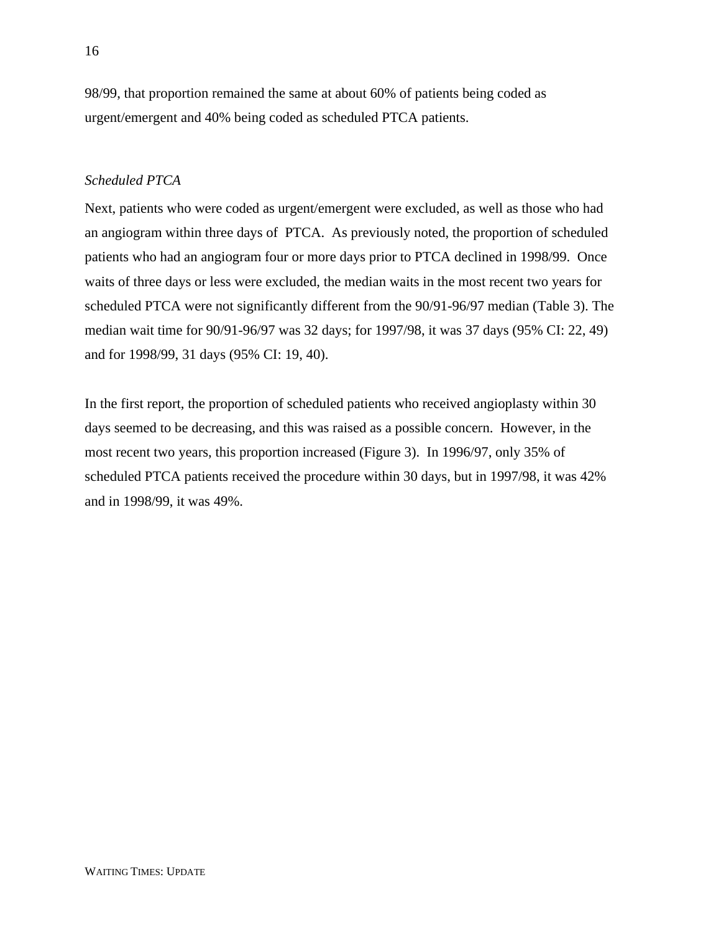98/99, that proportion remained the same at about 60% of patients being coded as urgent/emergent and 40% being coded as scheduled PTCA patients.

#### *Scheduled PTCA*

Next, patients who were coded as urgent/emergent were excluded, as well as those who had an angiogram within three days of PTCA. As previously noted, the proportion of scheduled patients who had an angiogram four or more days prior to PTCA declined in 1998/99. Once waits of three days or less were excluded, the median waits in the most recent two years for scheduled PTCA were not significantly different from the 90/91-96/97 median (Table 3). The median wait time for 90/91-96/97 was 32 days; for 1997/98, it was 37 days (95% CI: 22, 49) and for 1998/99, 31 days (95% CI: 19, 40).

In the first report, the proportion of scheduled patients who received angioplasty within 30 days seemed to be decreasing, and this was raised as a possible concern. However, in the most recent two years, this proportion increased (Figure 3). In 1996/97, only 35% of scheduled PTCA patients received the procedure within 30 days, but in 1997/98, it was 42% and in 1998/99, it was 49%.

16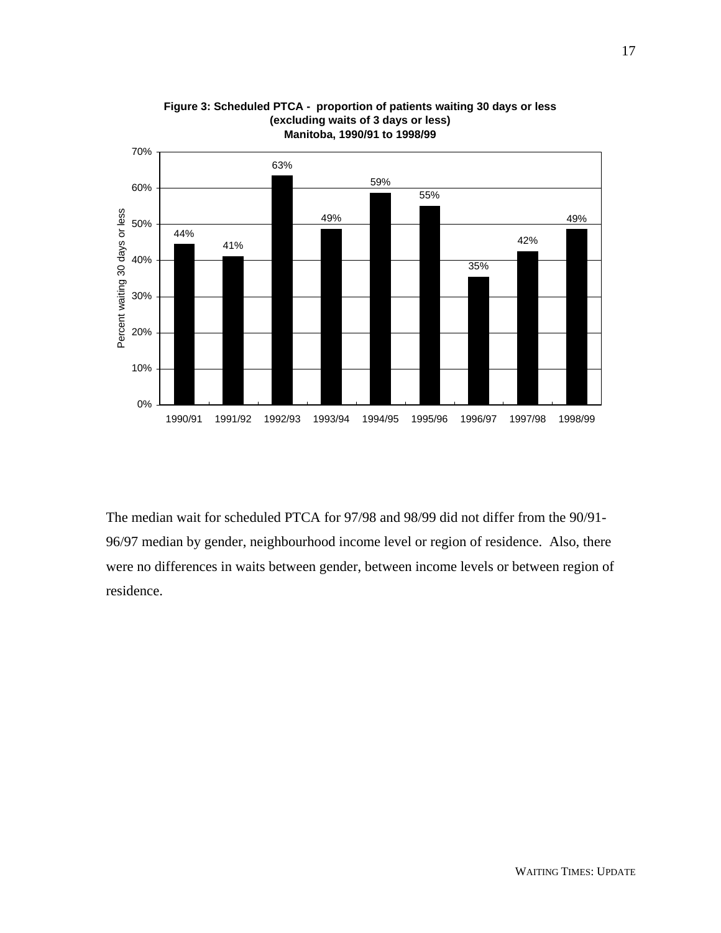

#### **Figure 3: Scheduled PTCA - proportion of patients waiting 30 days or less (excluding waits of 3 days or less) Manitoba, 1990/91 to 1998/99**

The median wait for scheduled PTCA for 97/98 and 98/99 did not differ from the 90/91- 96/97 median by gender, neighbourhood income level or region of residence. Also, there were no differences in waits between gender, between income levels or between region of residence.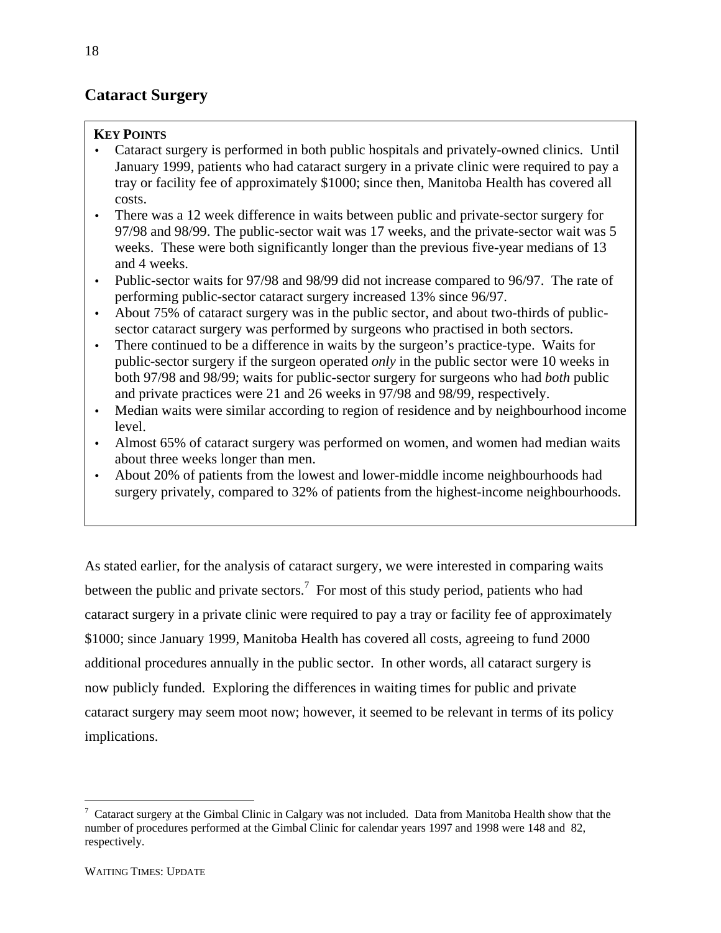# **Cataract Surgery**

### **KEY POINTS**

- Cataract surgery is performed in both public hospitals and privately-owned clinics. Until January 1999, patients who had cataract surgery in a private clinic were required to pay a tray or facility fee of approximately \$1000; since then, Manitoba Health has covered all costs.
- There was a 12 week difference in waits between public and private-sector surgery for 97/98 and 98/99. The public-sector wait was 17 weeks, and the private-sector wait was 5 weeks. These were both significantly longer than the previous five-year medians of 13 and 4 weeks.
- Public-sector waits for 97/98 and 98/99 did not increase compared to 96/97. The rate of performing public-sector cataract surgery increased 13% since 96/97.
- About 75% of cataract surgery was in the public sector, and about two-thirds of publicsector cataract surgery was performed by surgeons who practised in both sectors.
- There continued to be a difference in waits by the surgeon's practice-type. Waits for public-sector surgery if the surgeon operated *only* in the public sector were 10 weeks in both 97/98 and 98/99; waits for public-sector surgery for surgeons who had *both* public and private practices were 21 and 26 weeks in 97/98 and 98/99, respectively.
- Median waits were similar according to region of residence and by neighbourhood income level.
- Almost 65% of cataract surgery was performed on women, and women had median waits about three weeks longer than men.
- About 20% of patients from the lowest and lower-middle income neighbourhoods had surgery privately, compared to 32% of patients from the highest-income neighbourhoods.

As stated earlier, for the analysis of cataract surgery, we were interested in comparing waits between the public and private sectors.<sup>7</sup> For most of this study period, patients who had cataract surgery in a private clinic were required to pay a tray or facility fee of approximately \$1000; since January 1999, Manitoba Health has covered all costs, agreeing to fund 2000 additional procedures annually in the public sector. In other words, all cataract surgery is now publicly funded. Exploring the differences in waiting times for public and private cataract surgery may seem moot now; however, it seemed to be relevant in terms of its policy implications.

 $\overline{a}$ 

 $7$  Cataract surgery at the Gimbal Clinic in Calgary was not included. Data from Manitoba Health show that the number of procedures performed at the Gimbal Clinic for calendar years 1997 and 1998 were 148 and 82, respectively.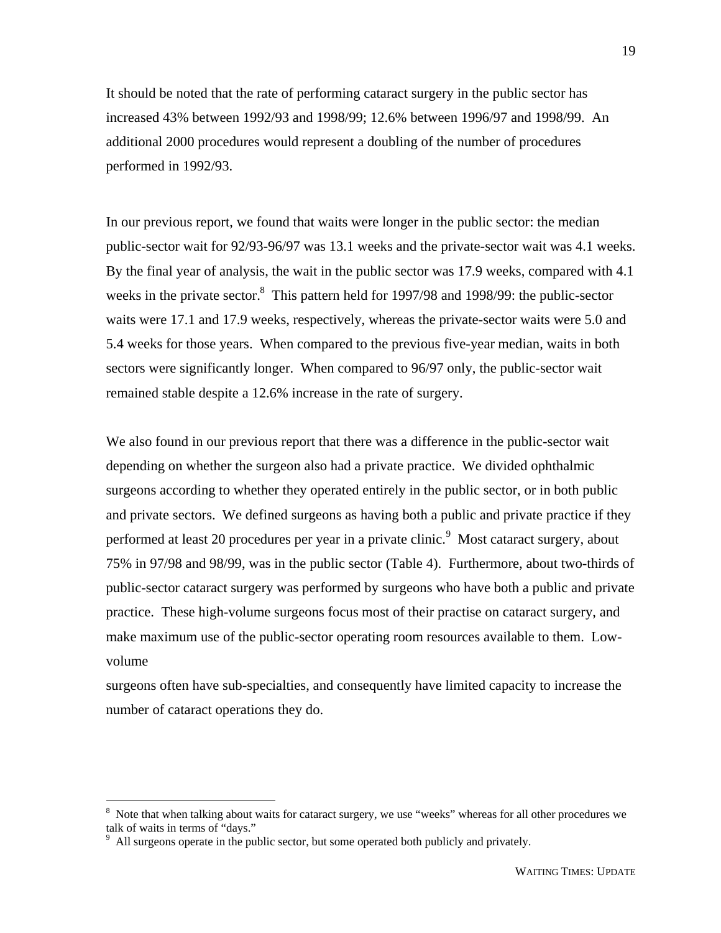It should be noted that the rate of performing cataract surgery in the public sector has increased 43% between 1992/93 and 1998/99; 12.6% between 1996/97 and 1998/99. An additional 2000 procedures would represent a doubling of the number of procedures performed in 1992/93.

In our previous report, we found that waits were longer in the public sector: the median public-sector wait for 92/93-96/97 was 13.1 weeks and the private-sector wait was 4.1 weeks. By the final year of analysis, the wait in the public sector was 17.9 weeks, compared with 4.1 weeks in the private sector.<sup>8</sup> This pattern held for 1997/98 and 1998/99: the public-sector waits were 17.1 and 17.9 weeks, respectively, whereas the private-sector waits were 5.0 and 5.4 weeks for those years. When compared to the previous five-year median, waits in both sectors were significantly longer. When compared to 96/97 only, the public-sector wait remained stable despite a 12.6% increase in the rate of surgery.

We also found in our previous report that there was a difference in the public-sector wait depending on whether the surgeon also had a private practice. We divided ophthalmic surgeons according to whether they operated entirely in the public sector, or in both public and private sectors. We defined surgeons as having both a public and private practice if they performed at least 20 procedures per year in a private clinic.<sup>9</sup> Most cataract surgery, about 75% in 97/98 and 98/99, was in the public sector (Table 4). Furthermore, about two-thirds of public-sector cataract surgery was performed by surgeons who have both a public and private practice. These high-volume surgeons focus most of their practise on cataract surgery, and make maximum use of the public-sector operating room resources available to them. Lowvolume

surgeons often have sub-specialties, and consequently have limited capacity to increase the number of cataract operations they do.

<sup>&</sup>lt;sup>8</sup> Note that when talking about waits for cataract surgery, we use "weeks" whereas for all other procedures we talk of waits in terms of "days."

<sup>&</sup>lt;sup>9</sup> All surgeons operate in the public sector, but some operated both publicly and privately.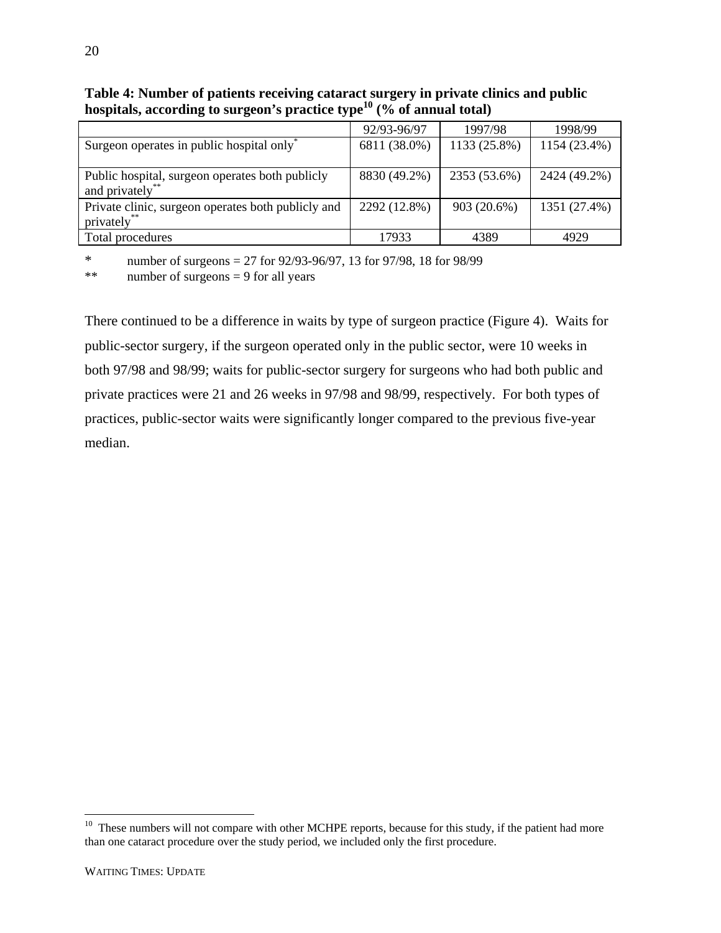|                                                       | 92/93-96/97  | 1997/98      | 1998/99      |
|-------------------------------------------------------|--------------|--------------|--------------|
| Surgeon operates in public hospital only <sup>*</sup> | 6811 (38.0%) | 1133 (25.8%) | 1154 (23.4%) |
|                                                       |              |              |              |
| Public hospital, surgeon operates both publicly       | 8830 (49.2%) | 2353 (53.6%) | 2424 (49.2%) |
| and privately <sup>*</sup>                            |              |              |              |
| Private clinic, surgeon operates both publicly and    | 2292 (12.8%) | 903 (20.6%)  | 1351 (27.4%) |
| privately**                                           |              |              |              |
| Total procedures                                      | 17933        | 4389         | 4929         |

**Table 4: Number of patients receiving cataract surgery in private clinics and public hospitals, according to surgeon's practice type10 (% of annual total)**

\* number of surgeons = 27 for  $92/93-96/97$ , 13 for  $97/98$ , 18 for  $98/99$ 

\*\* number of surgeons = 9 for all years

There continued to be a difference in waits by type of surgeon practice (Figure 4). Waits for public-sector surgery, if the surgeon operated only in the public sector, were 10 weeks in both 97/98 and 98/99; waits for public-sector surgery for surgeons who had both public and private practices were 21 and 26 weeks in 97/98 and 98/99, respectively. For both types of practices, public-sector waits were significantly longer compared to the previous five-year median.

 $\overline{a}$ 

<sup>&</sup>lt;sup>10</sup> These numbers will not compare with other MCHPE reports, because for this study, if the patient had more than one cataract procedure over the study period, we included only the first procedure.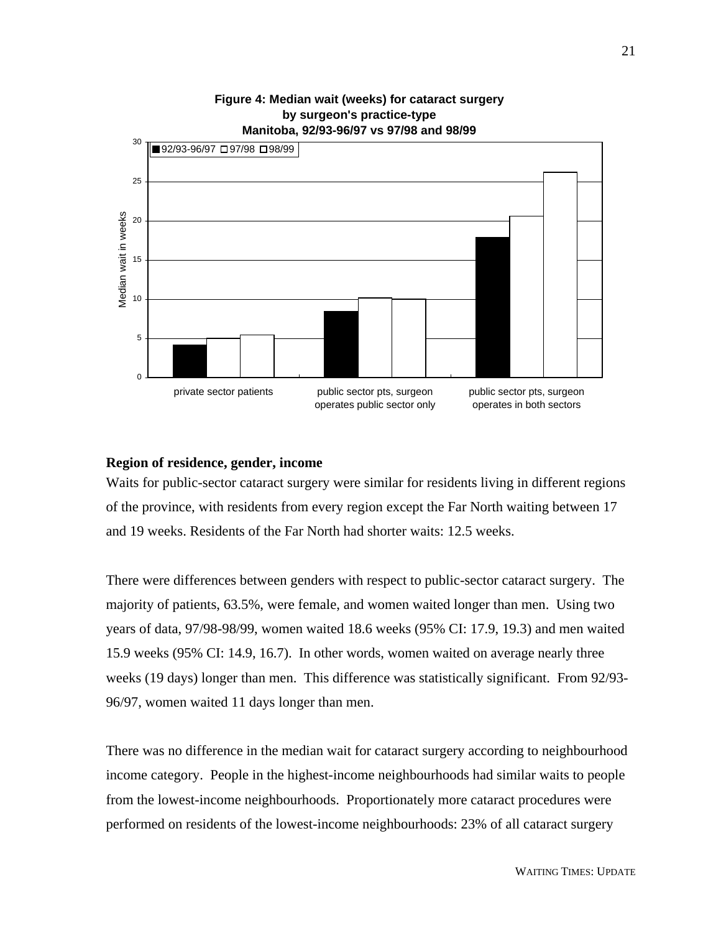

# **Figure 4: Median wait (weeks) for cataract surgery by surgeon's practice-type**

#### **Region of residence, gender, income**

Waits for public-sector cataract surgery were similar for residents living in different regions of the province, with residents from every region except the Far North waiting between 17 and 19 weeks. Residents of the Far North had shorter waits: 12.5 weeks.

There were differences between genders with respect to public-sector cataract surgery. The majority of patients, 63.5%, were female, and women waited longer than men. Using two years of data, 97/98-98/99, women waited 18.6 weeks (95% CI: 17.9, 19.3) and men waited 15.9 weeks (95% CI: 14.9, 16.7). In other words, women waited on average nearly three weeks (19 days) longer than men. This difference was statistically significant. From 92/93- 96/97, women waited 11 days longer than men.

There was no difference in the median wait for cataract surgery according to neighbourhood income category. People in the highest-income neighbourhoods had similar waits to people from the lowest-income neighbourhoods. Proportionately more cataract procedures were performed on residents of the lowest-income neighbourhoods: 23% of all cataract surgery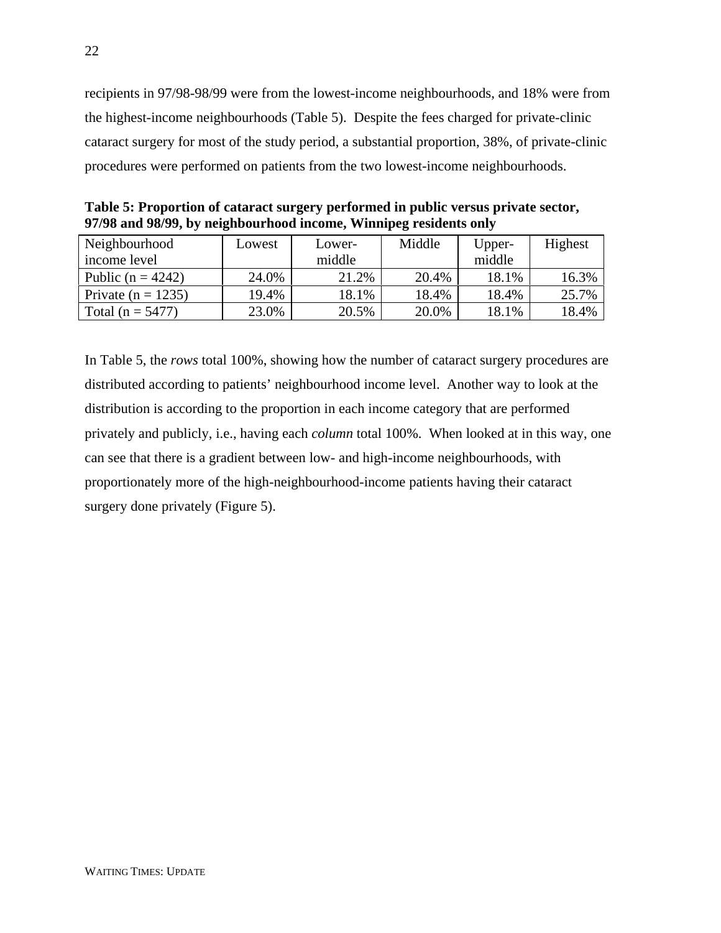recipients in 97/98-98/99 were from the lowest-income neighbourhoods, and 18% were from the highest-income neighbourhoods (Table 5). Despite the fees charged for private-clinic cataract surgery for most of the study period, a substantial proportion, 38%, of private-clinic procedures were performed on patients from the two lowest-income neighbourhoods.

| Neighbourhood         | Lowest | Lower- | Middle | Upper- | Highest |
|-----------------------|--------|--------|--------|--------|---------|
| income level          |        | middle |        | middle |         |
| Public ( $n = 4242$ ) | 24.0%  | 21.2%  | 20.4%  | 18.1%  | 16.3%   |
| Private $(n = 1235)$  | 19.4%  | 18.1%  | 18.4%  | 18.4%  | 25.7%   |
| Total $(n = 5477)$    | 23.0%  | 20.5%  | 20.0%  | 18.1%  | 18.4%   |

**Table 5: Proportion of cataract surgery performed in public versus private sector, 97/98 and 98/99, by neighbourhood income, Winnipeg residents only**

In Table 5, the *rows* total 100%, showing how the number of cataract surgery procedures are distributed according to patients' neighbourhood income level. Another way to look at the distribution is according to the proportion in each income category that are performed privately and publicly, i.e., having each *column* total 100%. When looked at in this way, one can see that there is a gradient between low- and high-income neighbourhoods, with proportionately more of the high-neighbourhood-income patients having their cataract surgery done privately (Figure 5).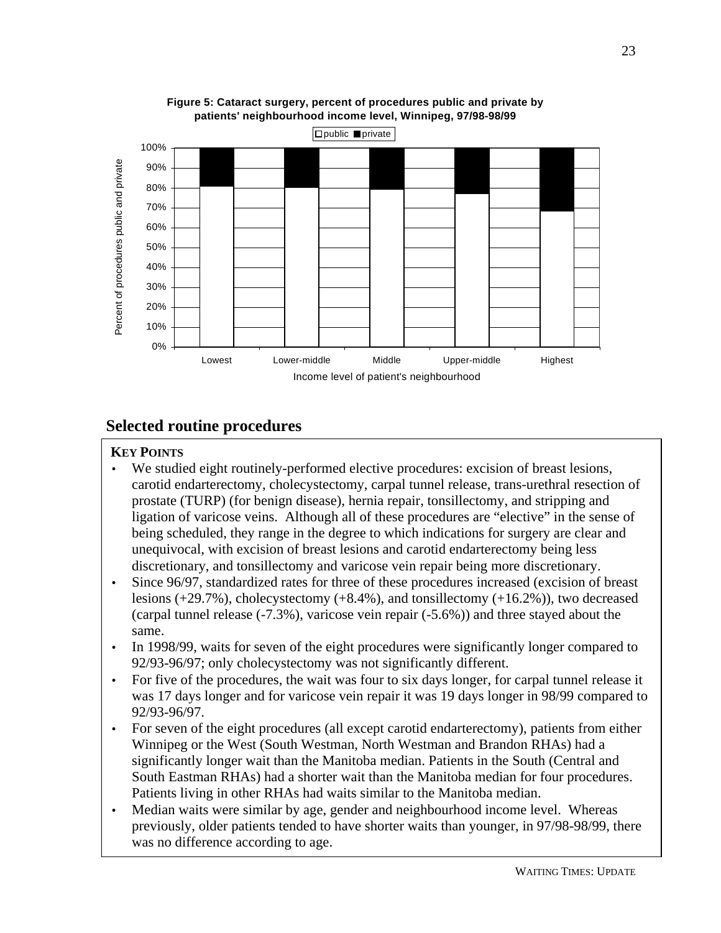

**Figure 5: Cataract surgery, percent of procedures public and private by patients' neighbourhood income level, Winnipeg, 97/98-98/99**

## **Selected routine procedures**

### **KEY POINTS**

- prostate (TURP) (for benign disease), hernia repair, tonsillectomy, and stripping and ligation of varicose veins. Although all of these procedures are "elective" in the sense of unequivocal, with excision of breast lesions and carotid endarterectomy being less discretionary, and tonsillectomy and varicose vein repair being more discretionary. • We studied eight routinely-performed elective procedures: excision of breast lesions, carotid endarterectomy, cholecystectomy, carpal tunnel release, trans-urethral resection of being scheduled, they range in the degree to which indications for surgery are clear and
- lesions  $(+29.7%)$ , cholecystectomy  $(+8.4%)$ , and tonsillectomy  $(+16.2%)$ ), two decreased (carpal tunnel release  $(-7.3\%)$ , varicose vein repair  $(-5.6\%)$ ) and three stayed about the • Since 96/97, standardized rates for three of these procedures increased (excision of breast same.
- In 1998/99, waits for seven of the eight procedures were significantly longer compared to 92/93-96/97; only cholecystectomy was not significantly different.
- was 17 days longer and for varicose vein repair it was 19 days longer in 98/99 compared to 92/93-96/97. • For five of the procedures, the wait was four to six days longer, for carpal tunnel release it
- For seven of the eight procedures (all except carotid endarterectomy), patients from either Winnipeg or the West (South Westman, North Westman and Brandon RHAs) had a significantly longer wait than the Manitoba median. Patients in the South (Central and South Eastman RHAs) had a shorter wait than the Manitoba median for four procedures. Patients living in other RHAs had waits similar to the Manitoba median.
- Median waits were similar by age, gender and neighbourhood income level. Whereas previously, older patients tended to have shorter waits than younger, in 97/98-98/99, there was no difference according to age.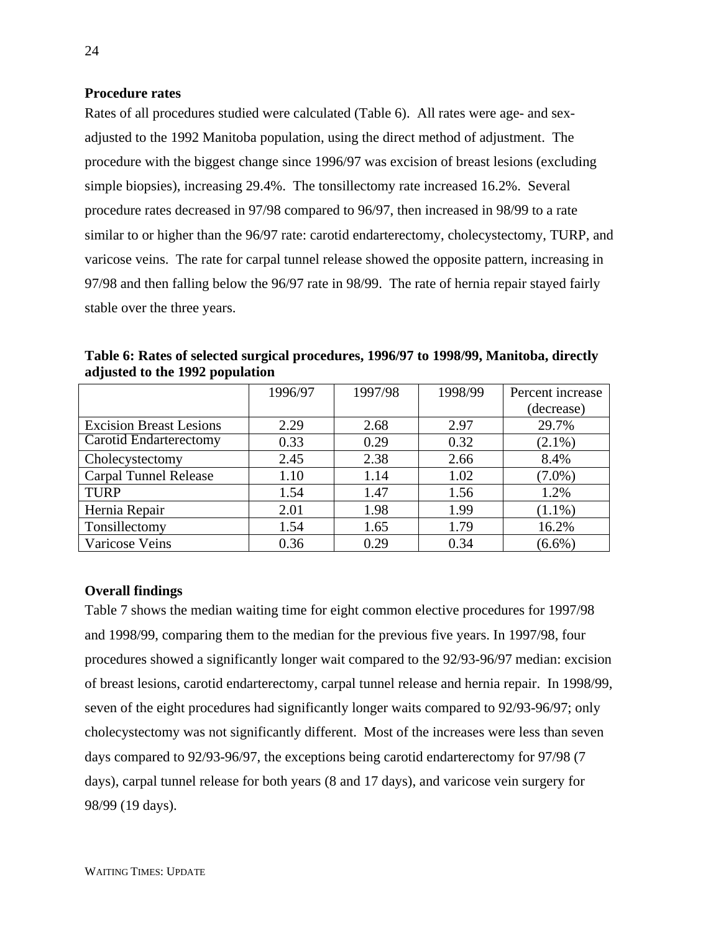#### **Procedure rates**

Rates of all procedures studied were calculated (Table 6). All rates were age- and sexadjusted to the 1992 Manitoba population, using the direct method of adjustment. The procedure with the biggest change since 1996/97 was excision of breast lesions (excluding simple biopsies), increasing 29.4%. The tonsillectomy rate increased 16.2%. Several procedure rates decreased in 97/98 compared to 96/97, then increased in 98/99 to a rate similar to or higher than the 96/97 rate: carotid endarterectomy, cholecystectomy, TURP, and varicose veins. The rate for carpal tunnel release showed the opposite pattern, increasing in 97/98 and then falling below the 96/97 rate in 98/99. The rate of hernia repair stayed fairly stable over the three years.

**Table 6: Rates of selected surgical procedures, 1996/97 to 1998/99, Manitoba, directly adjusted to the 1992 population**

|                                | 1996/97 | 1997/98 | 1998/99 | Percent increase |
|--------------------------------|---------|---------|---------|------------------|
|                                |         |         |         | (decrease)       |
| <b>Excision Breast Lesions</b> | 2.29    | 2.68    | 2.97    | 29.7%            |
| Carotid Endarterectomy         | 0.33    | 0.29    | 0.32    | $(2.1\%)$        |
| Cholecystectomy                | 2.45    | 2.38    | 2.66    | 8.4%             |
| <b>Carpal Tunnel Release</b>   | 1.10    | 1.14    | 1.02    | $(7.0\%)$        |
| <b>TURP</b>                    | 1.54    | 1.47    | 1.56    | 1.2%             |
| Hernia Repair                  | 2.01    | 1.98    | 1.99    | $(1.1\%)$        |
| Tonsillectomy                  | 1.54    | 1.65    | 1.79    | 16.2%            |
| Varicose Veins                 | 0.36    | 0.29    | 0.34    | $(6.6\%)$        |

#### **Overall findings**

Table 7 shows the median waiting time for eight common elective procedures for 1997/98 and 1998/99, comparing them to the median for the previous five years. In 1997/98, four procedures showed a significantly longer wait compared to the 92/93-96/97 median: excision of breast lesions, carotid endarterectomy, carpal tunnel release and hernia repair. In 1998/99, seven of the eight procedures had significantly longer waits compared to 92/93-96/97; only cholecystectomy was not significantly different. Most of the increases were less than seven days compared to 92/93-96/97, the exceptions being carotid endarterectomy for 97/98 (7 days), carpal tunnel release for both years (8 and 17 days), and varicose vein surgery for 98/99 (19 days).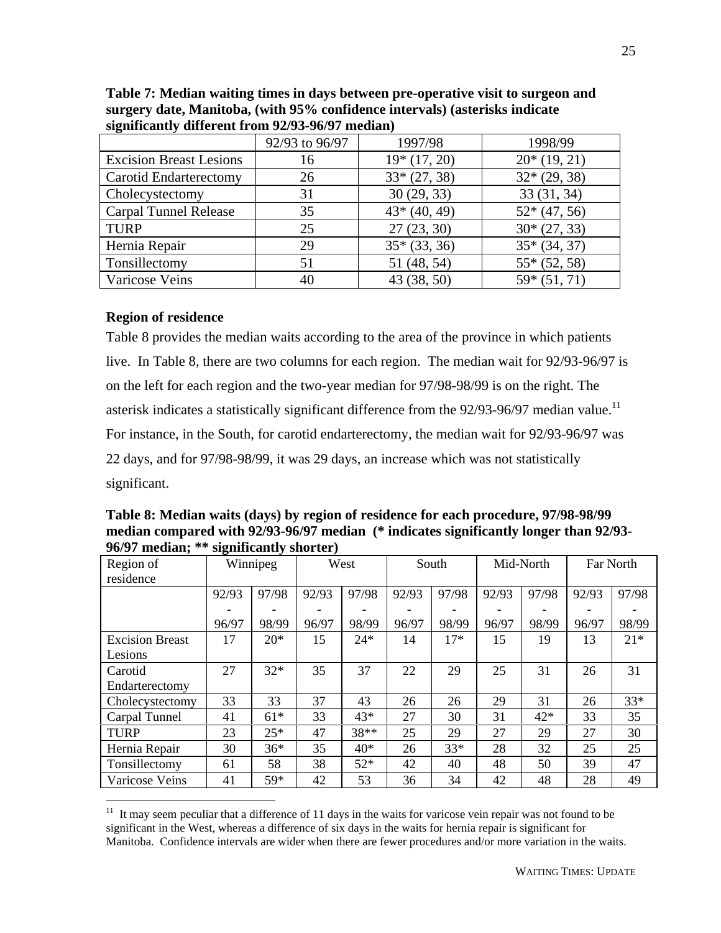| ັ                              | 92/93 to 96/97 | 1997/98       | 1998/99       |
|--------------------------------|----------------|---------------|---------------|
| <b>Excision Breast Lesions</b> | 16             | $19*(17, 20)$ | $20*(19, 21)$ |
| <b>Carotid Endarterectomy</b>  | 26             | $33*(27, 38)$ | $32*(29, 38)$ |
| Cholecystectomy                | 31             | 30(29, 33)    | 33(31, 34)    |
| Carpal Tunnel Release          | 35             | $43*(40, 49)$ | $52*(47, 56)$ |
| <b>TURP</b>                    | 25             | 27(23, 30)    | $30*(27, 33)$ |
| Hernia Repair                  | 29             | $35*(33, 36)$ | $35*(34, 37)$ |
| Tonsillectomy                  | 51             | 51 (48, 54)   | $55*(52, 58)$ |
| Varicose Veins                 | 40             | 43 (38, 50)   | $59*(51, 71)$ |

**Table 7: Median waiting times in days between pre-operative visit to surgeon and surgery date, Manitoba, (with 95% confidence intervals) (asterisks indicate significantly different from 92/93-96/97 median)**

#### **Region of residence**

 $\overline{a}$ 

Table 8 provides the median waits according to the area of the province in which patients live. In Table 8, there are two columns for each region. The median wait for 92/93-96/97 is on the left for each region and the two-year median for 97/98-98/99 is on the right. The asterisk indicates a statistically significant difference from the  $92/93-96/97$  median value.<sup>11</sup> For instance, in the South, for carotid endarterectomy, the median wait for 92/93-96/97 was 22 days, and for 97/98-98/99, it was 29 days, an increase which was not statistically significant.

**Table 8: Median waits (days) by region of residence for each procedure, 97/98-98/99 median compared with 92/93-96/97 median (\* indicates significantly longer than 92/93- 96/97 median; \*\* significantly shorter)**

| Region of              |       | Winnipeg |       | West  |       | South |       | Mid-North |       | Far North |
|------------------------|-------|----------|-------|-------|-------|-------|-------|-----------|-------|-----------|
| residence              |       |          |       |       |       |       |       |           |       |           |
|                        | 92/93 | 97/98    | 92/93 | 97/98 | 92/93 | 97/98 | 92/93 | 97/98     | 92/93 | 97/98     |
|                        |       |          |       |       |       |       |       |           |       |           |
|                        | 96/97 | 98/99    | 96/97 | 98/99 | 96/97 | 98/99 | 96/97 | 98/99     | 96/97 | 98/99     |
| <b>Excision Breast</b> | 17    | $20*$    | 15    | $24*$ | 14    | $17*$ | 15    | 19        | 13    | $21*$     |
| Lesions                |       |          |       |       |       |       |       |           |       |           |
| Carotid                | 27    | $32*$    | 35    | 37    | 22    | 29    | 25    | 31        | 26    | 31        |
| Endarterectomy         |       |          |       |       |       |       |       |           |       |           |
| Cholecystectomy        | 33    | 33       | 37    | 43    | 26    | 26    | 29    | 31        | 26    | $33*$     |
| Carpal Tunnel          | 41    | $61*$    | 33    | $43*$ | 27    | 30    | 31    | $42*$     | 33    | 35        |
| <b>TURP</b>            | 23    | $25*$    | 47    | 38**  | 25    | 29    | 27    | 29        | 27    | 30        |
| Hernia Repair          | 30    | $36*$    | 35    | $40*$ | 26    | $33*$ | 28    | 32        | 25    | 25        |
| Tonsillectomy          | 61    | 58       | 38    | $52*$ | 42    | 40    | 48    | 50        | 39    | 47        |
| Varicose Veins         | 41    | 59*      | 42    | 53    | 36    | 34    | 42    | 48        | 28    | 49        |

 $11$  It may seem peculiar that a difference of 11 days in the waits for varicose vein repair was not found to be significant in the West, whereas a difference of six days in the waits for hernia repair is significant for Manitoba. Confidence intervals are wider when there are fewer procedures and/or more variation in the waits.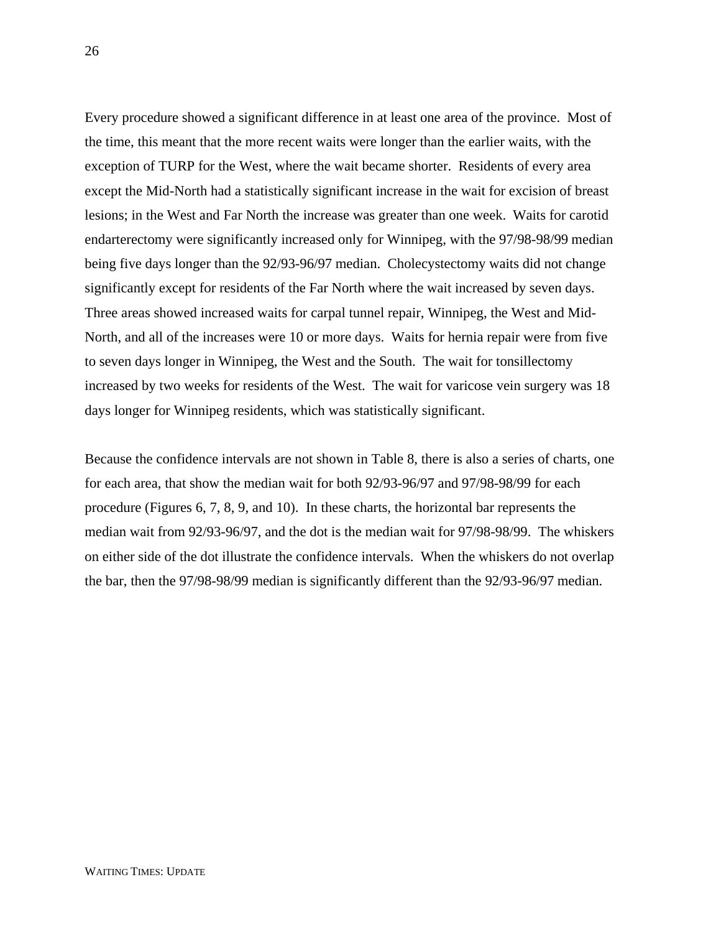Every procedure showed a significant difference in at least one area of the province. Most of the time, this meant that the more recent waits were longer than the earlier waits, with the exception of TURP for the West, where the wait became shorter. Residents of every area except the Mid-North had a statistically significant increase in the wait for excision of breast lesions; in the West and Far North the increase was greater than one week. Waits for carotid endarterectomy were significantly increased only for Winnipeg, with the 97/98-98/99 median being five days longer than the 92/93-96/97 median. Cholecystectomy waits did not change significantly except for residents of the Far North where the wait increased by seven days. Three areas showed increased waits for carpal tunnel repair, Winnipeg, the West and Mid-North, and all of the increases were 10 or more days. Waits for hernia repair were from five to seven days longer in Winnipeg, the West and the South. The wait for tonsillectomy increased by two weeks for residents of the West. The wait for varicose vein surgery was 18 days longer for Winnipeg residents, which was statistically significant.

Because the confidence intervals are not shown in Table 8, there is also a series of charts, one for each area, that show the median wait for both 92/93-96/97 and 97/98-98/99 for each procedure (Figures 6, 7, 8, 9, and 10). In these charts, the horizontal bar represents the median wait from 92/93-96/97, and the dot is the median wait for 97/98-98/99. The whiskers on either side of the dot illustrate the confidence intervals. When the whiskers do not overlap the bar, then the 97/98-98/99 median is significantly different than the 92/93-96/97 median.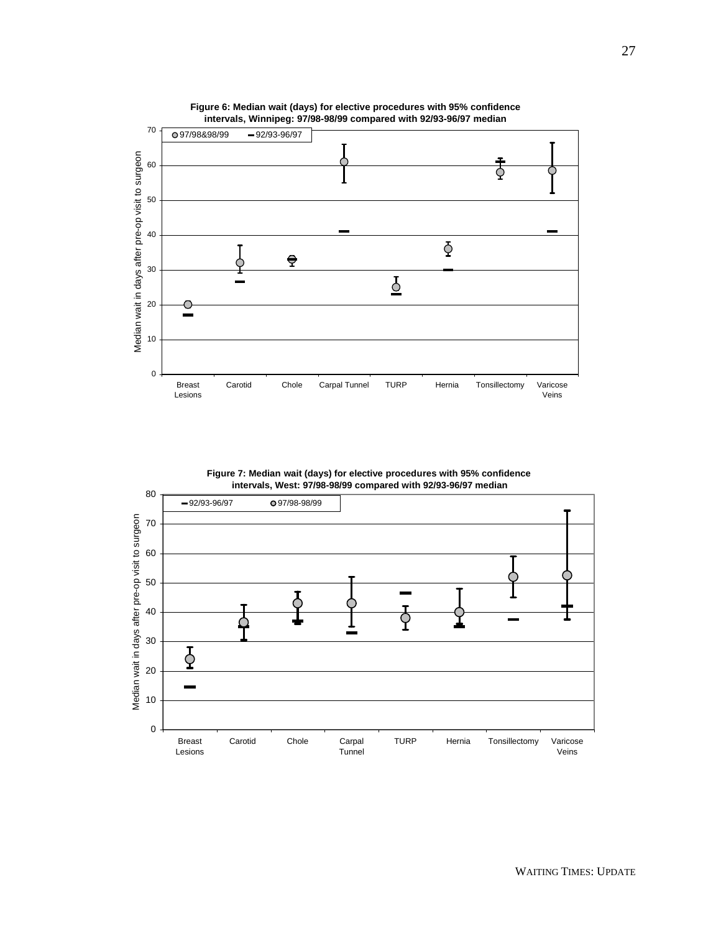

**Figure 6: Median wait (days) for elective procedures with 95% confidence intervals, Winnipeg: 97/98-98/99 compared with 92/93-96/97 median**

**Figure 7: Median wait (days) for elective procedures with 95% confidence intervals, West: 97/98-98/99 compared with 92/93-96/97 median**

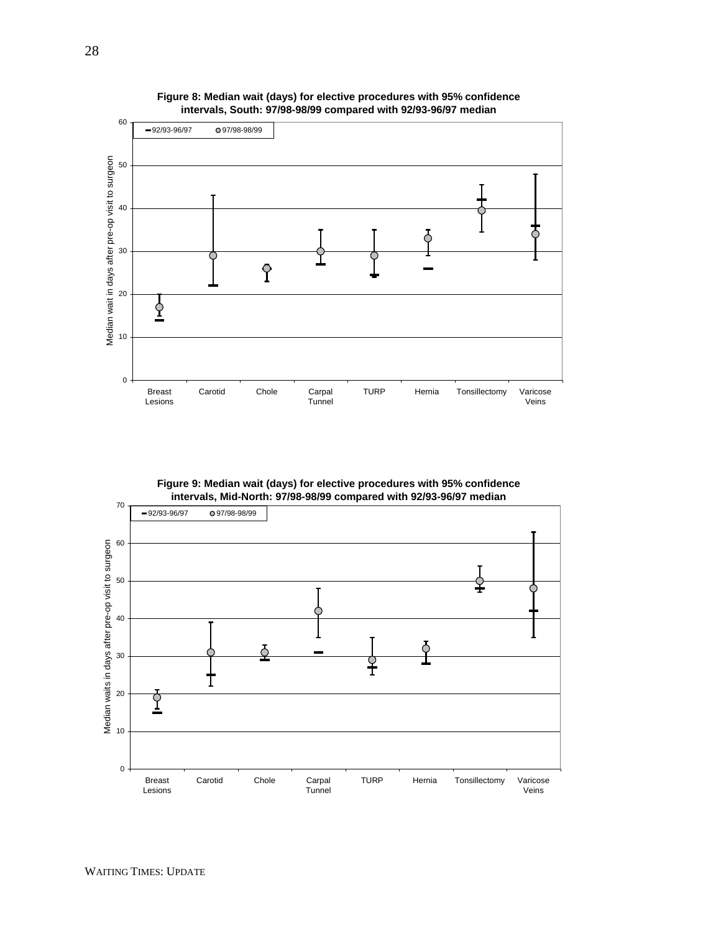

**Figure 8: Median wait (days) for elective procedures with 95% confidence intervals, South: 97/98-98/99 compared with 92/93-96/97 median**

**Figure 9: Median wait (days) for elective procedures with 95% confidence intervals, Mid-North: 97/98-98/99 compared with 92/93-96/97 median**

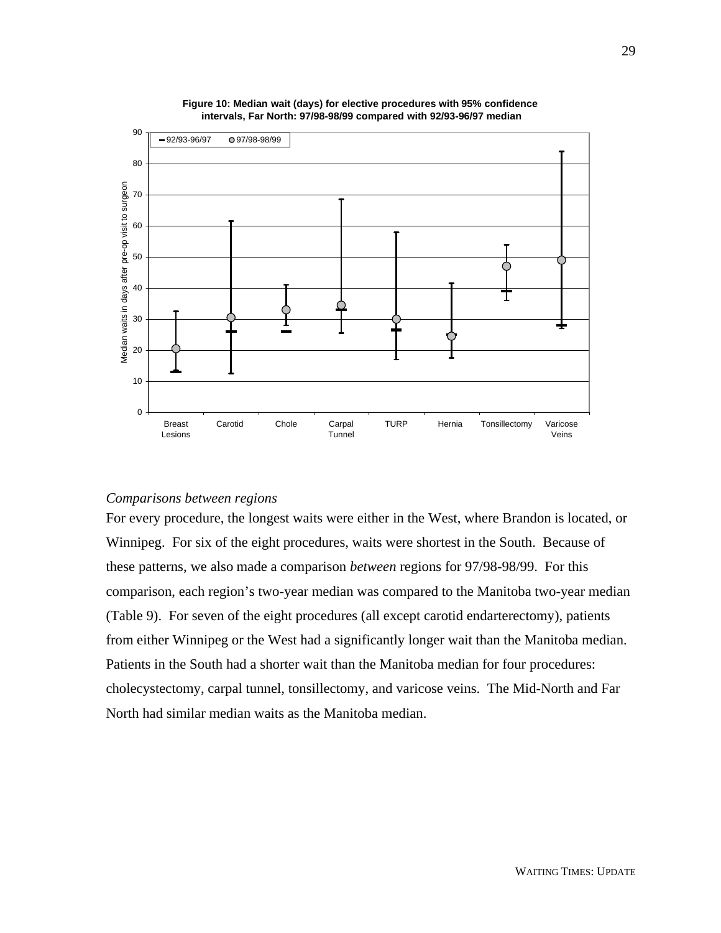

**Figure 10: Median wait (days) for elective procedures with 95% confidence intervals, Far North: 97/98-98/99 compared with 92/93-96/97 median**

#### *Comparisons between regions*

For every procedure, the longest waits were either in the West, where Brandon is located, or Winnipeg. For six of the eight procedures, waits were shortest in the South. Because of these patterns, we also made a comparison *between* regions for 97/98-98/99. For this comparison, each region's two-year median was compared to the Manitoba two-year median (Table 9). For seven of the eight procedures (all except carotid endarterectomy), patients from either Winnipeg or the West had a significantly longer wait than the Manitoba median. Patients in the South had a shorter wait than the Manitoba median for four procedures: cholecystectomy, carpal tunnel, tonsillectomy, and varicose veins. The Mid-North and Far North had similar median waits as the Manitoba median.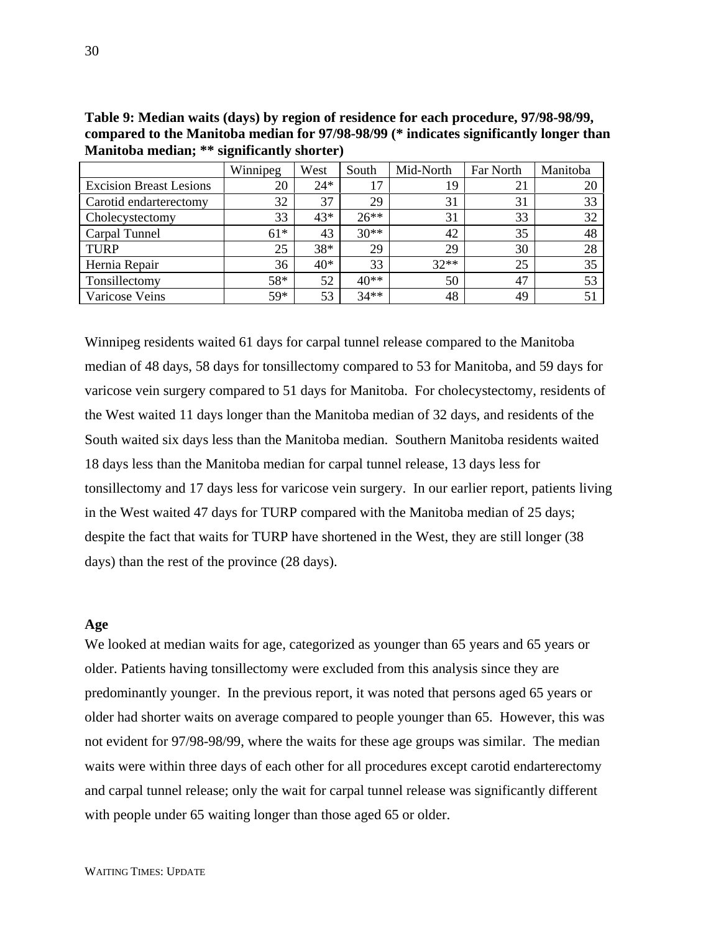|                                | Winnipeg | West  | South  | Mid-North | Far North | Manitoba |
|--------------------------------|----------|-------|--------|-----------|-----------|----------|
| <b>Excision Breast Lesions</b> | 20       | $24*$ | 17     | 19        | 21        | 20       |
| Carotid endarterectomy         | 32       | 37    | 29     | 31        | 31        | 33       |
| Cholecystectomy                | 33       | 43*   | $26**$ | 31        | 33        | 32       |
| Carpal Tunnel                  | $61*$    | 43    | $30**$ | 42        | 35        | 48       |
| <b>TURP</b>                    | 25       | $38*$ | 29     | 29        | 30        | 28       |
| Hernia Repair                  | 36       | $40*$ | 33     | $32**$    | 25        | 35       |
| Tonsillectomy                  | 58*      | 52    | $40**$ | 50        | 47        | 53       |
| Varicose Veins                 | 59*      | 53    | $34**$ | 48        | 49        | 51       |

**Table 9: Median waits (days) by region of residence for each procedure, 97/98-98/99, compared to the Manitoba median for 97/98-98/99 (\* indicates significantly longer than Manitoba median; \*\* significantly shorter)**

Winnipeg residents waited 61 days for carpal tunnel release compared to the Manitoba median of 48 days, 58 days for tonsillectomy compared to 53 for Manitoba, and 59 days for varicose vein surgery compared to 51 days for Manitoba. For cholecystectomy, residents of the West waited 11 days longer than the Manitoba median of 32 days, and residents of the South waited six days less than the Manitoba median. Southern Manitoba residents waited 18 days less than the Manitoba median for carpal tunnel release, 13 days less for tonsillectomy and 17 days less for varicose vein surgery. In our earlier report, patients living in the West waited 47 days for TURP compared with the Manitoba median of 25 days; despite the fact that waits for TURP have shortened in the West, they are still longer (38 days) than the rest of the province (28 days).

#### **Age**

We looked at median waits for age, categorized as younger than 65 years and 65 years or older. Patients having tonsillectomy were excluded from this analysis since they are predominantly younger. In the previous report, it was noted that persons aged 65 years or older had shorter waits on average compared to people younger than 65. However, this was not evident for 97/98-98/99, where the waits for these age groups was similar. The median waits were within three days of each other for all procedures except carotid endarterectomy and carpal tunnel release; only the wait for carpal tunnel release was significantly different with people under 65 waiting longer than those aged 65 or older.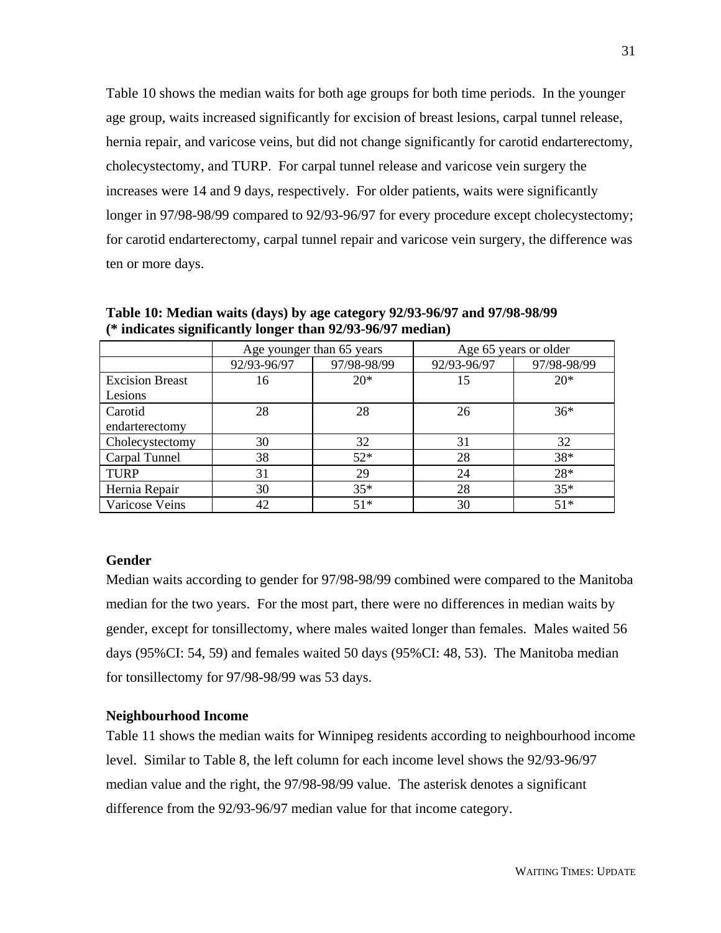Table 10 shows the median waits for both age groups for both time periods. In the younger age group, waits increased significantly for excision of breast lesions, carpal tunnel release, hernia repair, and varicose veins, but did not change significantly for carotid endarterectomy, cholecystectomy, and TURP. For carpal tunnel release and varicose vein surgery the increases were 14 and 9 days, respectively. For older patients, waits were significantly longer in 97/98-98/99 compared to 92/93-96/97 for every procedure except cholecystectomy; for carotid endarterectomy, carpal tunnel repair and varicose vein surgery, the difference was ten or more days.

|                        | Age younger than 65 years |             | Age 65 years or older |             |  |
|------------------------|---------------------------|-------------|-----------------------|-------------|--|
|                        | 92/93-96/97               | 97/98-98/99 | 92/93-96/97           | 97/98-98/99 |  |
| <b>Excision Breast</b> | 16                        | $20*$       | 15                    | $20*$       |  |
| Lesions                |                           |             |                       |             |  |
| Carotid                | 28                        | 28          | 26                    | $36*$       |  |
| endarterectomy         |                           |             |                       |             |  |
| Cholecystectomy        | 30                        | 32          | 31                    | 32          |  |
| Carpal Tunnel          | 38                        | $52*$       | 28                    | $38*$       |  |
| <b>TURP</b>            | 31                        | 29          | 24                    | $28*$       |  |
| Hernia Repair          | 30                        | $35*$       | 28                    | $35*$       |  |
| Varicose Veins         | 42                        | $51*$       | 30                    | $51*$       |  |

**Table 10: Median waits (days) by age category 92/93-96/97 and 97/98-98/99 (\* indicates significantly longer than 92/93-96/97 median)**

#### **Gender**

Median waits according to gender for 97/98-98/99 combined were compared to the Manitoba median for the two years. For the most part, there were no differences in median waits by gender, except for tonsillectomy, where males waited longer than females. Males waited 56 days (95%CI: 54, 59) and females waited 50 days (95%CI: 48, 53). The Manitoba median for tonsillectomy for 97/98-98/99 was 53 days.

#### **Neighbourhood Income**

Table 11 shows the median waits for Winnipeg residents according to neighbourhood income level. Similar to Table 8, the left column for each income level shows the 92/93-96/97 median value and the right, the 97/98-98/99 value. The asterisk denotes a significant difference from the 92/93-96/97 median value for that income category.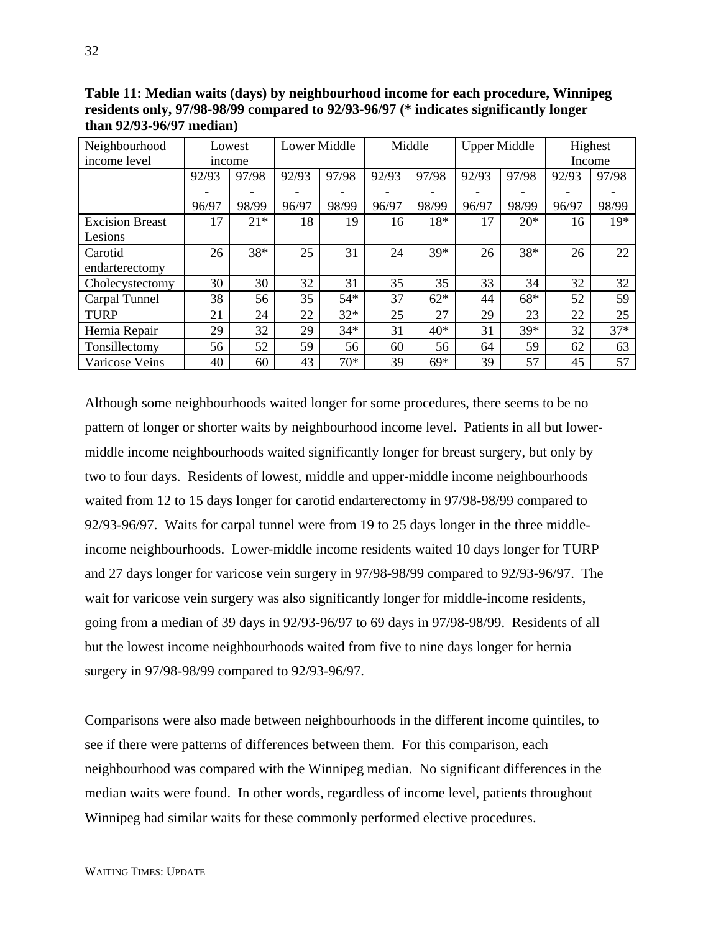**Table 11: Median waits (days) by neighbourhood income for each procedure, Winnipeg residents only, 97/98-98/99 compared to 92/93-96/97 (\* indicates significantly longer than 92/93-96/97 median)**

| Neighbourhood          |       | Lowest | <b>Lower Middle</b> |       |       | Middle | <b>Upper Middle</b> |       | Highest |       |
|------------------------|-------|--------|---------------------|-------|-------|--------|---------------------|-------|---------|-------|
| income level           |       | income |                     |       |       |        |                     |       | Income  |       |
|                        | 92/93 | 97/98  | 92/93               | 97/98 | 92/93 | 97/98  | 92/93               | 97/98 | 92/93   | 97/98 |
|                        |       |        |                     |       |       |        |                     |       |         |       |
|                        | 96/97 | 98/99  | 96/97               | 98/99 | 96/97 | 98/99  | 96/97               | 98/99 | 96/97   | 98/99 |
| <b>Excision Breast</b> | 17    | $21*$  | 18                  | 19    | 16    | 18*    | 17                  | $20*$ | 16      | $19*$ |
| Lesions                |       |        |                     |       |       |        |                     |       |         |       |
| Carotid                | 26    | 38*    | 25                  | 31    | 24    | $39*$  | 26                  | 38*   | 26      | 22    |
| endarterectomy         |       |        |                     |       |       |        |                     |       |         |       |
| Cholecystectomy        | 30    | 30     | 32                  | 31    | 35    | 35     | 33                  | 34    | 32      | 32    |
| Carpal Tunnel          | 38    | 56     | 35                  | $54*$ | 37    | $62*$  | 44                  | $68*$ | 52      | 59    |
| <b>TURP</b>            | 21    | 24     | 22                  | $32*$ | 25    | 27     | 29                  | 23    | 22      | 25    |
| Hernia Repair          | 29    | 32     | 29                  | $34*$ | 31    | $40*$  | 31                  | $39*$ | 32      | $37*$ |
| Tonsillectomy          | 56    | 52     | 59                  | 56    | 60    | 56     | 64                  | 59    | 62      | 63    |
| Varicose Veins         | 40    | 60     | 43                  | $70*$ | 39    | $69*$  | 39                  | 57    | 45      | 57    |

Although some neighbourhoods waited longer for some procedures, there seems to be no pattern of longer or shorter waits by neighbourhood income level. Patients in all but lowermiddle income neighbourhoods waited significantly longer for breast surgery, but only by two to four days. Residents of lowest, middle and upper-middle income neighbourhoods waited from 12 to 15 days longer for carotid endarterectomy in 97/98-98/99 compared to 92/93-96/97. Waits for carpal tunnel were from 19 to 25 days longer in the three middleincome neighbourhoods. Lower-middle income residents waited 10 days longer for TURP and 27 days longer for varicose vein surgery in 97/98-98/99 compared to 92/93-96/97. The wait for varicose vein surgery was also significantly longer for middle-income residents, going from a median of 39 days in 92/93-96/97 to 69 days in 97/98-98/99. Residents of all but the lowest income neighbourhoods waited from five to nine days longer for hernia surgery in 97/98-98/99 compared to 92/93-96/97.

Comparisons were also made between neighbourhoods in the different income quintiles, to see if there were patterns of differences between them. For this comparison, each neighbourhood was compared with the Winnipeg median. No significant differences in the median waits were found. In other words, regardless of income level, patients throughout Winnipeg had similar waits for these commonly performed elective procedures.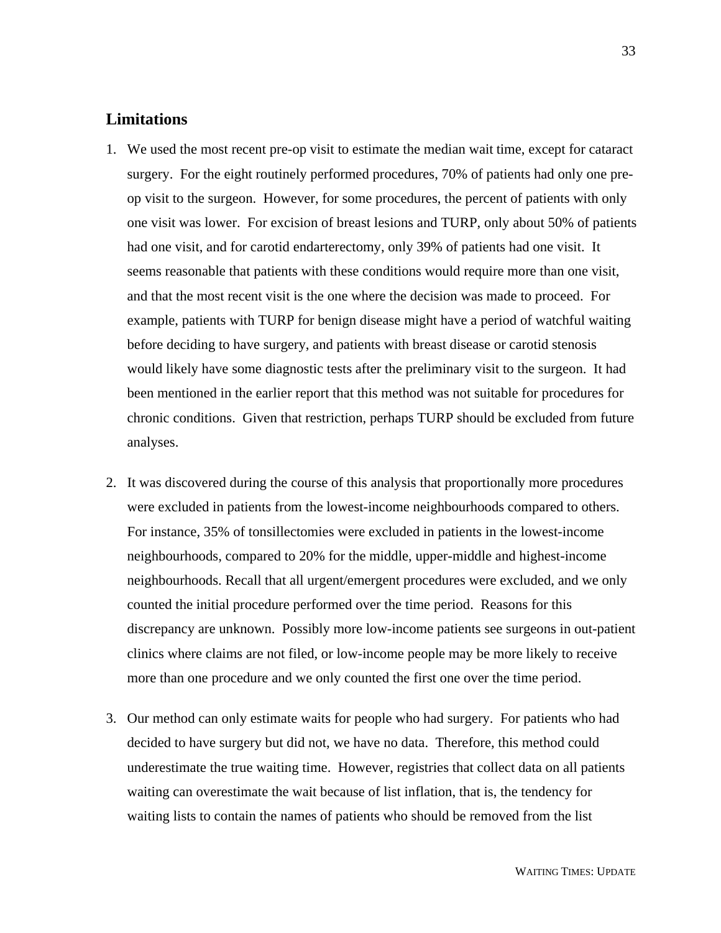## **Limitations**

- 1. We used the most recent pre-op visit to estimate the median wait time, except for cataract surgery. For the eight routinely performed procedures, 70% of patients had only one preop visit to the surgeon. However, for some procedures, the percent of patients with only one visit was lower. For excision of breast lesions and TURP, only about 50% of patients had one visit, and for carotid endarterectomy, only 39% of patients had one visit. It seems reasonable that patients with these conditions would require more than one visit, and that the most recent visit is the one where the decision was made to proceed. For example, patients with TURP for benign disease might have a period of watchful waiting before deciding to have surgery, and patients with breast disease or carotid stenosis would likely have some diagnostic tests after the preliminary visit to the surgeon. It had been mentioned in the earlier report that this method was not suitable for procedures for chronic conditions. Given that restriction, perhaps TURP should be excluded from future analyses.
- 2. It was discovered during the course of this analysis that proportionally more procedures were excluded in patients from the lowest-income neighbourhoods compared to others. For instance, 35% of tonsillectomies were excluded in patients in the lowest-income neighbourhoods, compared to 20% for the middle, upper-middle and highest-income neighbourhoods. Recall that all urgent/emergent procedures were excluded, and we only counted the initial procedure performed over the time period. Reasons for this discrepancy are unknown. Possibly more low-income patients see surgeons in out-patient clinics where claims are not filed, or low-income people may be more likely to receive more than one procedure and we only counted the first one over the time period.
- 3. Our method can only estimate waits for people who had surgery. For patients who had decided to have surgery but did not, we have no data. Therefore, this method could underestimate the true waiting time. However, registries that collect data on all patients waiting can overestimate the wait because of list inflation, that is, the tendency for waiting lists to contain the names of patients who should be removed from the list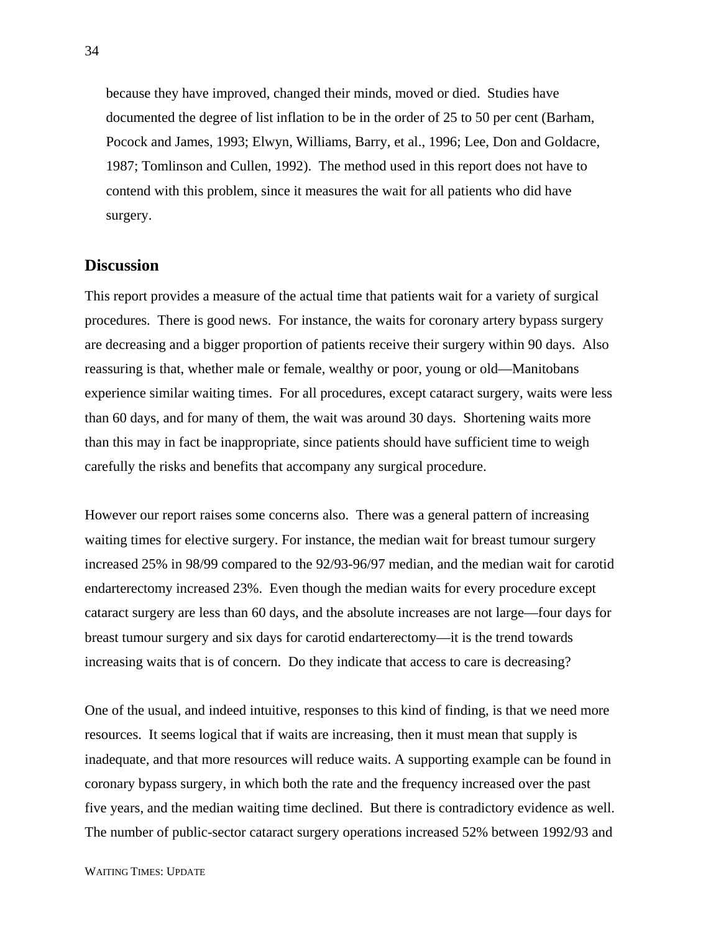because they have improved, changed their minds, moved or died. Studies have documented the degree of list inflation to be in the order of 25 to 50 per cent (Barham, Pocock and James, 1993; Elwyn, Williams, Barry, et al., 1996; Lee, Don and Goldacre, 1987; Tomlinson and Cullen, 1992). The method used in this report does not have to contend with this problem, since it measures the wait for all patients who did have surgery.

#### **Discussion**

This report provides a measure of the actual time that patients wait for a variety of surgical procedures. There is good news. For instance, the waits for coronary artery bypass surgery are decreasing and a bigger proportion of patients receive their surgery within 90 days. Also reassuring is that, whether male or female, wealthy or poor, young or old—Manitobans experience similar waiting times. For all procedures, except cataract surgery, waits were less than 60 days, and for many of them, the wait was around 30 days. Shortening waits more than this may in fact be inappropriate, since patients should have sufficient time to weigh carefully the risks and benefits that accompany any surgical procedure.

However our report raises some concerns also. There was a general pattern of increasing waiting times for elective surgery. For instance, the median wait for breast tumour surgery increased 25% in 98/99 compared to the 92/93-96/97 median, and the median wait for carotid endarterectomy increased 23%. Even though the median waits for every procedure except cataract surgery are less than 60 days, and the absolute increases are not large—four days for breast tumour surgery and six days for carotid endarterectomy—it is the trend towards increasing waits that is of concern. Do they indicate that access to care is decreasing?

One of the usual, and indeed intuitive, responses to this kind of finding, is that we need more resources. It seems logical that if waits are increasing, then it must mean that supply is inadequate, and that more resources will reduce waits. A supporting example can be found in coronary bypass surgery, in which both the rate and the frequency increased over the past five years, and the median waiting time declined. But there is contradictory evidence as well. The number of public-sector cataract surgery operations increased 52% between 1992/93 and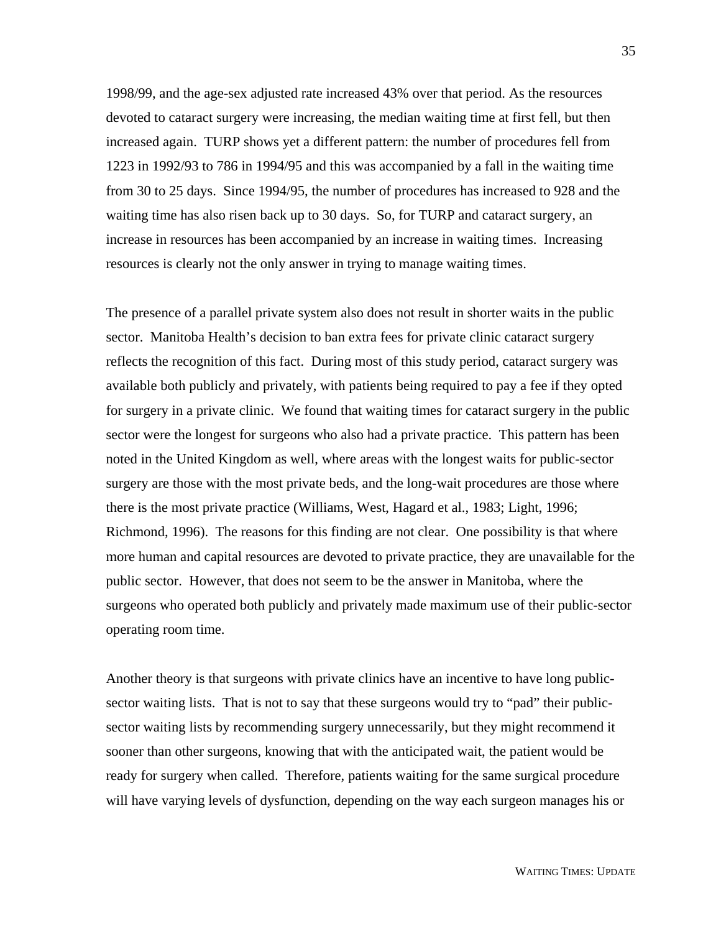1998/99, and the age-sex adjusted rate increased 43% over that period. As the resources devoted to cataract surgery were increasing, the median waiting time at first fell, but then increased again. TURP shows yet a different pattern: the number of procedures fell from 1223 in 1992/93 to 786 in 1994/95 and this was accompanied by a fall in the waiting time from 30 to 25 days. Since 1994/95, the number of procedures has increased to 928 and the waiting time has also risen back up to 30 days. So, for TURP and cataract surgery, an increase in resources has been accompanied by an increase in waiting times. Increasing resources is clearly not the only answer in trying to manage waiting times.

The presence of a parallel private system also does not result in shorter waits in the public sector. Manitoba Health's decision to ban extra fees for private clinic cataract surgery reflects the recognition of this fact. During most of this study period, cataract surgery was available both publicly and privately, with patients being required to pay a fee if they opted for surgery in a private clinic. We found that waiting times for cataract surgery in the public sector were the longest for surgeons who also had a private practice. This pattern has been noted in the United Kingdom as well, where areas with the longest waits for public-sector surgery are those with the most private beds, and the long-wait procedures are those where there is the most private practice (Williams, West, Hagard et al., 1983; Light, 1996; Richmond, 1996). The reasons for this finding are not clear. One possibility is that where more human and capital resources are devoted to private practice, they are unavailable for the public sector. However, that does not seem to be the answer in Manitoba, where the surgeons who operated both publicly and privately made maximum use of their public-sector operating room time.

Another theory is that surgeons with private clinics have an incentive to have long publicsector waiting lists. That is not to say that these surgeons would try to "pad" their publicsector waiting lists by recommending surgery unnecessarily, but they might recommend it sooner than other surgeons, knowing that with the anticipated wait, the patient would be ready for surgery when called. Therefore, patients waiting for the same surgical procedure will have varying levels of dysfunction, depending on the way each surgeon manages his or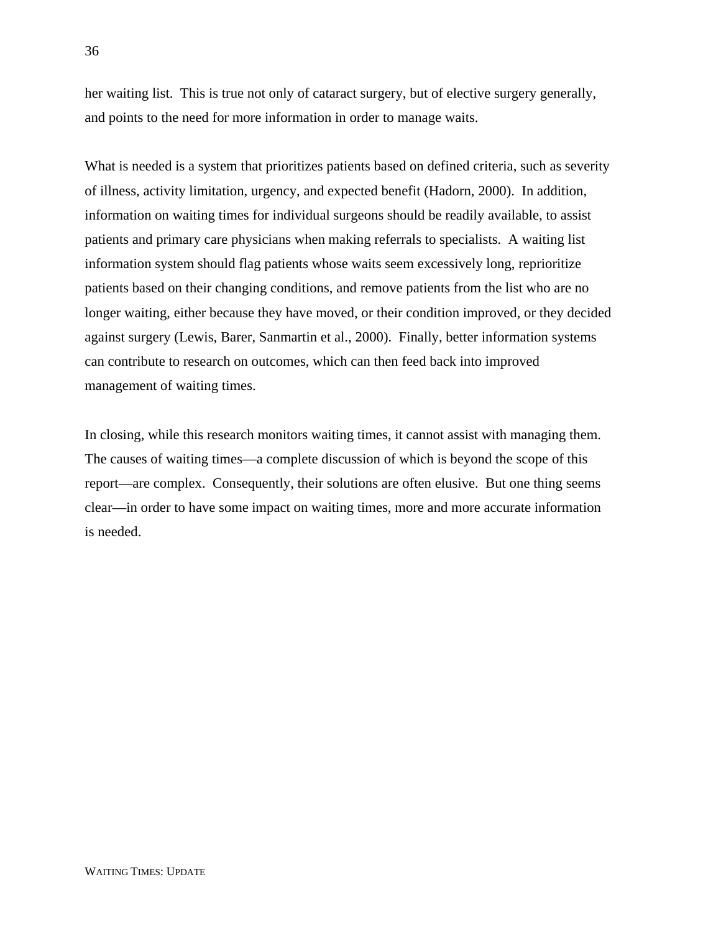her waiting list. This is true not only of cataract surgery, but of elective surgery generally, and points to the need for more information in order to manage waits.

What is needed is a system that prioritizes patients based on defined criteria, such as severity of illness, activity limitation, urgency, and expected benefit (Hadorn, 2000). In addition, information on waiting times for individual surgeons should be readily available, to assist patients and primary care physicians when making referrals to specialists. A waiting list information system should flag patients whose waits seem excessively long, reprioritize patients based on their changing conditions, and remove patients from the list who are no longer waiting, either because they have moved, or their condition improved, or they decided against surgery (Lewis, Barer, Sanmartin et al., 2000). Finally, better information systems can contribute to research on outcomes, which can then feed back into improved management of waiting times.

In closing, while this research monitors waiting times, it cannot assist with managing them. The causes of waiting times—a complete discussion of which is beyond the scope of this report—are complex. Consequently, their solutions are often elusive. But one thing seems clear—in order to have some impact on waiting times, more and more accurate information is needed.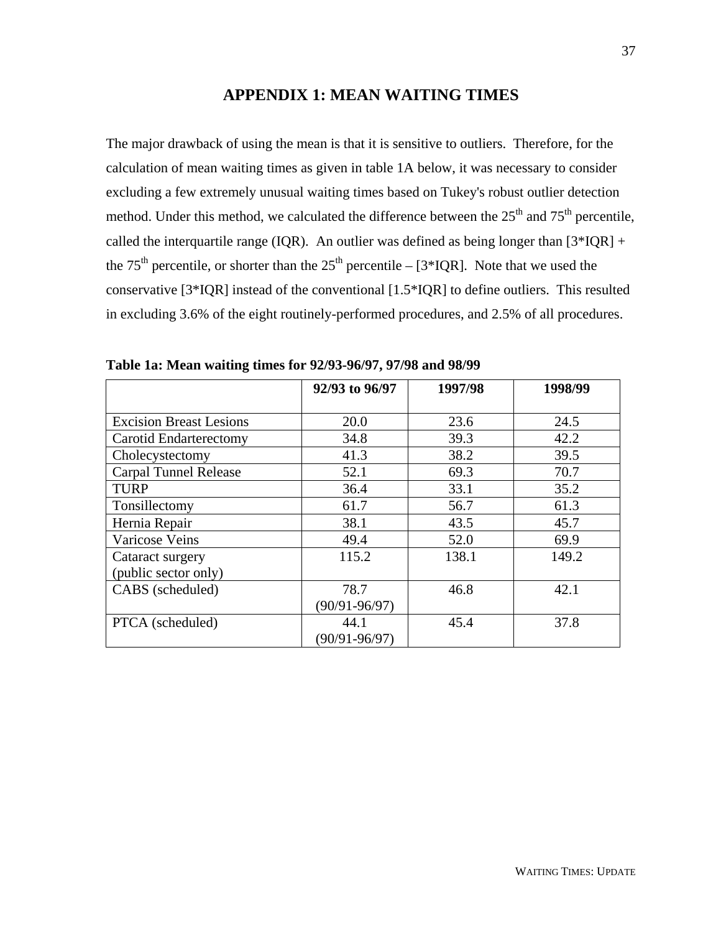#### **APPENDIX 1: MEAN WAITING TIMES**

The major drawback of using the mean is that it is sensitive to outliers. Therefore, for the calculation of mean waiting times as given in table 1A below, it was necessary to consider excluding a few extremely unusual waiting times based on Tukey's robust outlier detection method. Under this method, we calculated the difference between the  $25<sup>th</sup>$  and  $75<sup>th</sup>$  percentile, called the interquartile range (IQR). An outlier was defined as being longer than  $[3*IQR] +$ the 75<sup>th</sup> percentile, or shorter than the 25<sup>th</sup> percentile – [3\*IQR]. Note that we used the conservative [3\*IQR] instead of the conventional [1.5\*IQR] to define outliers. This resulted in excluding 3.6% of the eight routinely-performed procedures, and 2.5% of all procedures.

|                                | 92/93 to 96/97    | 1997/98 | 1998/99 |
|--------------------------------|-------------------|---------|---------|
|                                |                   |         |         |
| <b>Excision Breast Lesions</b> | 20.0              | 23.6    | 24.5    |
| Carotid Endarterectomy         | 34.8              | 39.3    | 42.2    |
| Cholecystectomy                | 41.3              | 38.2    | 39.5    |
| <b>Carpal Tunnel Release</b>   | 52.1              | 69.3    | 70.7    |
| <b>TURP</b>                    | 36.4              | 33.1    | 35.2    |
| Tonsillectomy                  | 61.7              | 56.7    | 61.3    |
| Hernia Repair                  | 38.1              | 43.5    | 45.7    |
| Varicose Veins                 | 49.4              | 52.0    | 69.9    |
| Cataract surgery               | 115.2             | 138.1   | 149.2   |
| (public sector only)           |                   |         |         |
| CABS (scheduled)               | 78.7              | 46.8    | 42.1    |
|                                | $(90/91 - 96/97)$ |         |         |
| PTCA (scheduled)               | 44.1              | 45.4    | 37.8    |
|                                | $(90/91 - 96/97)$ |         |         |

**Table 1a: Mean waiting times for 92/93-96/97, 97/98 and 98/99**